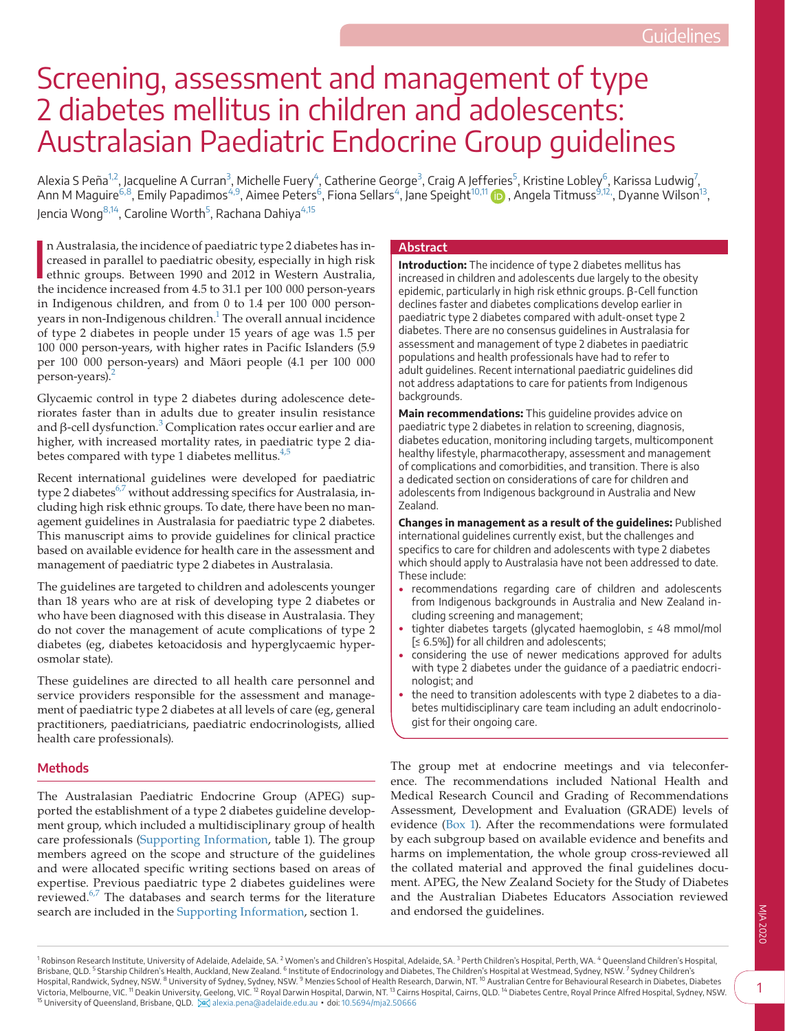# Screening, assessment and management of type 2 diabetes mellitus in children and adolescents: Australasian Paediatric Endocrine Group guidelines

Alexia S Peña $^{1,2}$ , Jacqueline A Curran $^3$  $^3$ , Michelle Fuery $^4$ , Catherine George $^3$ , Craig A Jeff[eries](https://orcid.org/0000-0002-1204-6896) $^5$  $^5$ , Kristine Lobley $^6$  $^6$ , Karissa Ludwig $^7$  $^7$ , Ann M Maguire<sup>6,8</sup>, Emily Papadimos<sup>[4,9](#page-0-2)</sup>, Aimee Peters<sup>6</sup>, Fiona Sellars<sup>[4](#page-0-2)</sup>, Jane Speight<sup>[10,11](#page-0-6)</sup> (**b** , Angela Titmuss<sup>9,12,</sup> Dyanne Wilson<sup>13</sup>, Jencia Wong<sup>[8,14](#page-0-9)</sup>, Caroline Worth<sup>5</sup>, Rachana Dahiya<sup>[4,15](#page-0-2)</sup>

In Australasia, the incidence of paediatric type 2 diabetes has increased in parallel to paediatric obesity, especially in high risk ethnic groups. Between 1990 and 2012 in Western Australia, the incidence increased from 4 n Australasia, the incidence of paediatric type 2 diabetes has increased in parallel to paediatric obesity, especially in high risk ethnic groups. Between 1990 and 2012 in Western Australia, in Indigenous children, and from 0 to 1.4 per 100 000 personyears in non-Indigenous children.<sup>1</sup> The overall annual incidence of type 2 diabetes in people under 15 years of age was 1.5 per 100 000 person-years, with higher rates in Pacific Islanders (5.9 per 100 000 person-years) and Māori people (4.1 per 100 000 person-years).<sup>[2](#page-12-1)</sup>

Glycaemic control in type 2 diabetes during adolescence deteriorates faster than in adults due to greater insulin resistance and  $\beta$ -cell dysfunction.<sup>[3](#page-12-2)</sup> Complication rates occur earlier and are higher, with increased mortality rates, in paediatric type 2 diabetes compared with type 1 diabetes mellitus. $4,5$ 

Recent international guidelines were developed for paediatric type 2 diabetes<sup>[6,7](#page-12-4)</sup> without addressing specifics for Australasia, including high risk ethnic groups. To date, there have been no management guidelines in Australasia for paediatric type 2 diabetes. This manuscript aims to provide guidelines for clinical practice based on available evidence for health care in the assessment and management of paediatric type 2 diabetes in Australasia.

The guidelines are targeted to children and adolescents younger than 18 years who are at risk of developing type 2 diabetes or who have been diagnosed with this disease in Australasia. They do not cover the management of acute complications of type 2 diabetes (eg, diabetes ketoacidosis and hyperglycaemic hyperosmolar state).

These guidelines are directed to all health care personnel and service providers responsible for the assessment and management of paediatric type 2 diabetes at all levels of care (eg, general practitioners, paediatricians, paediatric endocrinologists, allied health care professionals).

# **Methods**

The Australasian Paediatric Endocrine Group (APEG) supported the establishment of a type 2 diabetes guideline development group, which included a multidisciplinary group of health care professionals [\(Supporting Information](#page-13-0), table 1). The group members agreed on the scope and structure of the guidelines and were allocated specific writing sections based on areas of expertise. Previous paediatric type 2 diabetes guidelines were reviewed.<sup>6,7</sup> The databases and search terms for the literature search are included in the [Supporting Information,](#page-13-0) section 1.

#### **Abstract**

**Introduction:** The incidence of type 2 diabetes mellitus has increased in children and adolescents due largely to the obesity epidemic, particularly in high risk ethnic groups. β-Cell function declines faster and diabetes complications develop earlier in paediatric type 2 diabetes compared with adult-onset type 2 diabetes. There are no consensus guidelines in Australasia for assessment and management of type 2 diabetes in paediatric populations and health professionals have had to refer to adult guidelines. Recent international paediatric guidelines did not address adaptations to care for patients from Indigenous backgrounds.

**Main recommendations:** This guideline provides advice on paediatric type 2 diabetes in relation to screening, diagnosis, diabetes education, monitoring including targets, multicomponent healthy lifestyle, pharmacotherapy, assessment and management of complications and comorbidities, and transition. There is also a dedicated section on considerations of care for children and adolescents from Indigenous background in Australia and New Zealand.

**Changes in management as a result of the guidelines:** Published international guidelines currently exist, but the challenges and specifics to care for children and adolescents with type 2 diabetes which should apply to Australasia have not been addressed to date. These include:

- recommendations regarding care of children and adolescents from Indigenous backgrounds in Australia and New Zealand including screening and management;
- tighter diabetes targets (glycated haemoglobin, ≤ 48 mmol/mol [≤ 6.5%]) for all children and adolescents;
- considering the use of newer medications approved for adults with type 2 diabetes under the guidance of a paediatric endocrinologist; and
- the need to transition adolescents with type 2 diabetes to a diabetes multidisciplinary care team including an adult endocrinologist for their ongoing care.

<span id="page-0-8"></span><span id="page-0-7"></span><span id="page-0-6"></span><span id="page-0-5"></span><span id="page-0-2"></span><span id="page-0-1"></span>The group met at endocrine meetings and via teleconference. The recommendations included National Health and Medical Research Council and Grading of Recommendations Assessment, Development and Evaluation (GRADE) levels of evidence [\(Box 1](#page-1-0)). After the recommendations were formulated by each subgroup based on available evidence and benefits and harms on implementation, the whole group cross-reviewed all the collated material and approved the final guidelines document. APEG, the New Zealand Society for the Study of Diabetes and the Australian Diabetes Educators Association reviewed and endorsed the guidelines.

<span id="page-0-9"></span><span id="page-0-4"></span><span id="page-0-3"></span><span id="page-0-0"></span><sup>1</sup> Robinson Research Institute, University of Adelaide, Adelaide, SA. <sup>2</sup> Women's and Children's Hospital, Adelaide, SA. <sup>3</sup> Perth Children's Hospital, Perth, WA. <sup>4</sup> Queensland Children's Hospital, Brisbane, QLD. <sup>5</sup> Starship Children's Health, Auckland, New Zealand. <sup>6</sup> Institute of Endocrinology and Diabetes, The Children's Hospital at Westmead, Sydney, NSW. <sup>7</sup> Sydney Children's<br>Hospital, Randwick, Sydney, NSW. <sup>8</sup> <sup>15</sup> University of Queensland, Brisbane, QLD. [28] [alexia.pena@adelaide.edu.au](mailto:alexia.pena@adelaide.edu.au) • doi: [10.5694/mja2.50666](https://doi.org/10.5694/mja2.50666)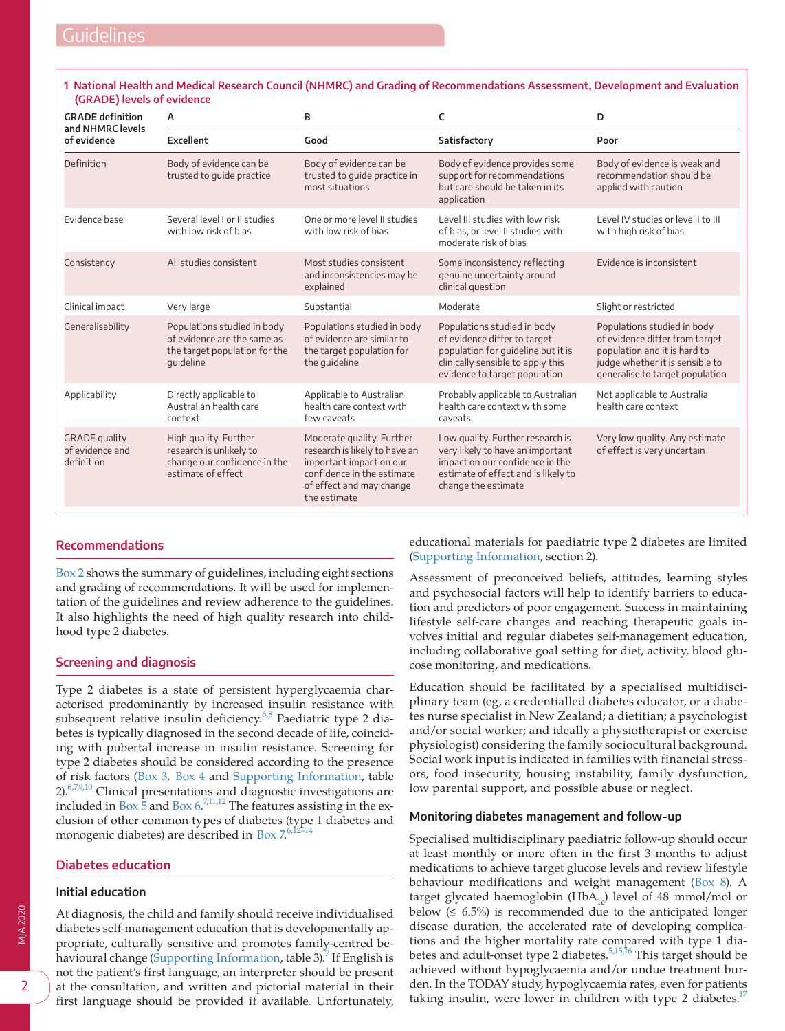# <span id="page-1-0"></span>**1 National Health and Medical Research Council (NHMRC) and Grading of Recommendations Assessment, Development and Evaluation (GRADE) levels of evidence**

| <b>GRADE definition</b><br>and NHMRC levels           | A                                                                                                        | B                                                                                                                                                               | C                                                                                                                                                                       | D                                                                                                                                                                   |
|-------------------------------------------------------|----------------------------------------------------------------------------------------------------------|-----------------------------------------------------------------------------------------------------------------------------------------------------------------|-------------------------------------------------------------------------------------------------------------------------------------------------------------------------|---------------------------------------------------------------------------------------------------------------------------------------------------------------------|
| of evidence                                           | Excellent                                                                                                | Good                                                                                                                                                            | Satisfactory                                                                                                                                                            | Poor                                                                                                                                                                |
| Definition                                            | Body of evidence can be<br>trusted to guide practice                                                     | Body of evidence can be<br>trusted to quide practice in<br>most situations                                                                                      | Body of evidence provides some<br>support for recommendations<br>but care should be taken in its<br>application                                                         | Body of evidence is weak and<br>recommendation should be<br>applied with caution                                                                                    |
| Evidence base                                         | Several level Lor II studies<br>with low risk of bias                                                    | One or more level II studies<br>with low risk of bias                                                                                                           | Level III studies with low risk<br>of bias, or level II studies with<br>moderate risk of bias                                                                           | Level IV studies or level I to III<br>with high risk of bias                                                                                                        |
| Consistency                                           | All studies consistent                                                                                   | Most studies consistent<br>and inconsistencies may be<br>explained                                                                                              | Some inconsistency reflecting<br>genuine uncertainty around<br>clinical question                                                                                        | Evidence is inconsistent                                                                                                                                            |
| Clinical impact                                       | Very large                                                                                               | Substantial                                                                                                                                                     | Moderate                                                                                                                                                                | Slight or restricted                                                                                                                                                |
| Generalisability                                      | Populations studied in body<br>of evidence are the same as<br>the target population for the<br>quideline | Populations studied in body<br>of evidence are similar to<br>the target population for<br>the quideline                                                         | Populations studied in body<br>of evidence differ to target<br>population for guideline but it is<br>clinically sensible to apply this<br>evidence to target population | Populations studied in body<br>of evidence differ from target<br>population and it is hard to<br>judge whether it is sensible to<br>generalise to target population |
| Applicability                                         | Directly applicable to<br>Australian health care<br>context                                              | Applicable to Australian<br>health care context with<br>few caveats                                                                                             | Probably applicable to Australian<br>health care context with some<br>caveats                                                                                           | Not applicable to Australia<br>health care context                                                                                                                  |
| <b>GRADE</b> quality<br>of evidence and<br>definition | High quality. Further<br>research is unlikely to<br>change our confidence in the<br>estimate of effect   | Moderate quality. Further<br>research is likely to have an<br>important impact on our<br>confidence in the estimate<br>of effect and may change<br>the estimate | Low quality. Further research is<br>very likely to have an important<br>impact on our confidence in the<br>estimate of effect and is likely to<br>change the estimate   | Very low quality. Any estimate<br>of effect is very uncertain                                                                                                       |

# **Recommendations**

[Box 2](#page-2-0) shows the summary of guidelines, including eight sections and grading of recommendations. It will be used for implementation of the guidelines and review adherence to the guidelines. It also highlights the need of high quality research into childhood type 2 diabetes.

# **Screening and diagnosis**

Type 2 diabetes is a state of persistent hyperglycaemia characterised predominantly by increased insulin resistance with subsequent relative insulin deficiency.<sup>6,8</sup> Paediatric type 2 diabetes is typically diagnosed in the second decade of life, coinciding with pubertal increase in insulin resistance. Screening for type 2 diabetes should be considered according to the presence of risk factors [\(Box 3,](#page-3-0) [Box 4](#page-4-0) and [Supporting Information](#page-13-0), table  $2$ ).<sup>6,7,9,10</sup> Clinical presentations and diagnostic investigations are included in Box  $\frac{1}{5}$  and Box  $6$ .<sup>7,11,12</sup> The features assisting in the exclusion of other common types of diabetes (type 1 diabetes and monogenic diabetes) are described in [Box 7](#page-5-1).6,12-14

# **Diabetes education**

## **Initial education**

At diagnosis, the child and family should receive individualised diabetes self-management education that is developmentally appropriate, culturally sensitive and promotes family-centred be-havioural change ([Supporting Information,](#page-13-0) table 3).<sup>[7](#page-12-5)</sup> If English is not the patient's first language, an interpreter should be present at the consultation, and written and pictorial material in their first language should be provided if available. Unfortunately,

educational materials for paediatric type 2 diabetes are limited [\(Supporting Information,](#page-13-0) section 2).

Assessment of preconceived beliefs, attitudes, learning styles and psychosocial factors will help to identify barriers to education and predictors of poor engagement. Success in maintaining lifestyle self-care changes and reaching therapeutic goals involves initial and regular diabetes self-management education, including collaborative goal setting for diet, activity, blood glucose monitoring, and medications.

Education should be facilitated by a specialised multidisciplinary team (eg, a credentialled diabetes educator, or a diabetes nurse specialist in New Zealand; a dietitian; a psychologist and/or social worker; and ideally a physiotherapist or exercise physiologist) considering the family sociocultural background. Social work input is indicated in families with financial stressors, food insecurity, housing instability, family dysfunction, low parental support, and possible abuse or neglect.

#### **Monitoring diabetes management and follow-up**

Specialised multidisciplinary paediatric follow-up should occur at least monthly or more often in the first 3 months to adjust medications to achieve target glucose levels and review lifestyle behaviour modifications and weight management [\(Box 8\)](#page-6-0). A target glycated haemoglobin (HbA<sub>1c</sub>) level of 48 mmol/mol or below  $(≤ 6.5%)$  is recommended due to the anticipated longer disease duration, the accelerated rate of developing complications and the higher mortality rate compared with type 1 diabetes and adult-onset type 2 diabetes.[5,15,16](#page-12-6) This target should be achieved without hypoglycaemia and/or undue treatment burden. In the TODAY study, hypoglycaemia rates, even for patients taking insulin, were lower in children with type 2 diabetes. $17$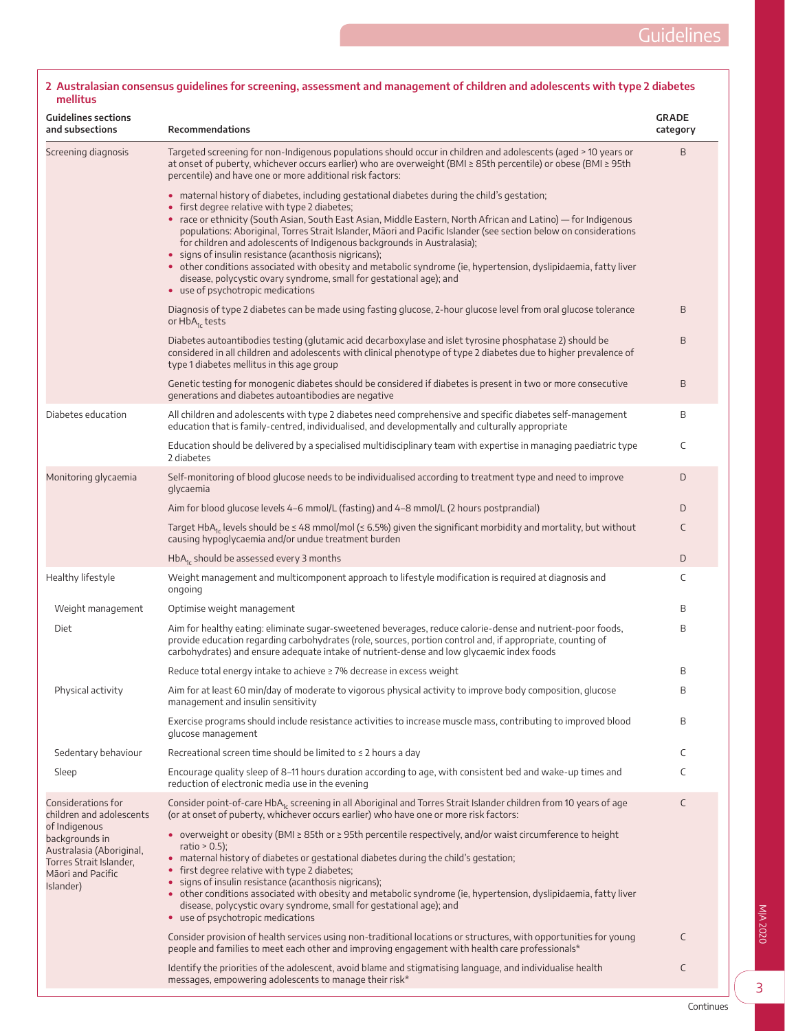| <b>Guidelines sections</b><br>and subsections                                                                            | Recommendations                                                                                                                                                                                                                                                                                                                                                                                                                                                                                                                                                                                                                                                                                                                                        | <b>GRADE</b><br>category |
|--------------------------------------------------------------------------------------------------------------------------|--------------------------------------------------------------------------------------------------------------------------------------------------------------------------------------------------------------------------------------------------------------------------------------------------------------------------------------------------------------------------------------------------------------------------------------------------------------------------------------------------------------------------------------------------------------------------------------------------------------------------------------------------------------------------------------------------------------------------------------------------------|--------------------------|
| Screening diagnosis                                                                                                      | Targeted screening for non-Indigenous populations should occur in children and adolescents (aged > 10 years or<br>at onset of puberty, whichever occurs earlier) who are overweight (BMI ≥ 85th percentile) or obese (BMI ≥ 95th<br>percentile) and have one or more additional risk factors:                                                                                                                                                                                                                                                                                                                                                                                                                                                          | B                        |
|                                                                                                                          | • maternal history of diabetes, including gestational diabetes during the child's gestation;<br>• first degree relative with type 2 diabetes;<br>• race or ethnicity (South Asian, South East Asian, Middle Eastern, North African and Latino) — for Indigenous<br>populations: Aboriginal, Torres Strait Islander, Māori and Pacific Islander (see section below on considerations<br>for children and adolescents of Indigenous backgrounds in Australasia);<br>• signs of insulin resistance (acanthosis nigricans);<br>• other conditions associated with obesity and metabolic syndrome (ie, hypertension, dyslipidaemia, fatty liver<br>disease, polycystic ovary syndrome, small for gestational age); and<br>• use of psychotropic medications |                          |
|                                                                                                                          | Diagnosis of type 2 diabetes can be made using fasting glucose, 2-hour glucose level from oral glucose tolerance<br>or HbA <sub>1c</sub> tests                                                                                                                                                                                                                                                                                                                                                                                                                                                                                                                                                                                                         | B                        |
|                                                                                                                          | Diabetes autoantibodies testing (glutamic acid decarboxylase and islet tyrosine phosphatase 2) should be<br>considered in all children and adolescents with clinical phenotype of type 2 diabetes due to higher prevalence of<br>type 1 diabetes mellitus in this age group                                                                                                                                                                                                                                                                                                                                                                                                                                                                            | B                        |
|                                                                                                                          | Genetic testing for monogenic diabetes should be considered if diabetes is present in two or more consecutive<br>generations and diabetes autoantibodies are negative                                                                                                                                                                                                                                                                                                                                                                                                                                                                                                                                                                                  | B                        |
| Diabetes education                                                                                                       | All children and adolescents with type 2 diabetes need comprehensive and specific diabetes self-management<br>education that is family-centred, individualised, and developmentally and culturally appropriate                                                                                                                                                                                                                                                                                                                                                                                                                                                                                                                                         | B                        |
|                                                                                                                          | Education should be delivered by a specialised multidisciplinary team with expertise in managing paediatric type<br>2 diabetes                                                                                                                                                                                                                                                                                                                                                                                                                                                                                                                                                                                                                         | C                        |
| Monitoring glycaemia                                                                                                     | Self-monitoring of blood glucose needs to be individualised according to treatment type and need to improve<br>glycaemia                                                                                                                                                                                                                                                                                                                                                                                                                                                                                                                                                                                                                               | D                        |
|                                                                                                                          | Aim for blood glucose levels 4–6 mmol/L (fasting) and 4–8 mmol/L (2 hours postprandial)                                                                                                                                                                                                                                                                                                                                                                                                                                                                                                                                                                                                                                                                | D                        |
|                                                                                                                          | Target HbA <sub>1c</sub> levels should be $\leq 48$ mmol/mol ( $\leq 6.5$ %) given the significant morbidity and mortality, but without<br>causing hypoglycaemia and/or undue treatment burden                                                                                                                                                                                                                                                                                                                                                                                                                                                                                                                                                         | C                        |
|                                                                                                                          | $HbA1c$ should be assessed every 3 months                                                                                                                                                                                                                                                                                                                                                                                                                                                                                                                                                                                                                                                                                                              | D                        |
| Healthy lifestyle                                                                                                        | Weight management and multicomponent approach to lifestyle modification is required at diagnosis and<br>ongoing                                                                                                                                                                                                                                                                                                                                                                                                                                                                                                                                                                                                                                        | C                        |
| Weight management                                                                                                        | Optimise weight management                                                                                                                                                                                                                                                                                                                                                                                                                                                                                                                                                                                                                                                                                                                             | Β                        |
| Diet                                                                                                                     | Aim for healthy eating: eliminate sugar-sweetened beverages, reduce calorie-dense and nutrient-poor foods,<br>provide education regarding carbohydrates (role, sources, portion control and, if appropriate, counting of<br>carbohydrates) and ensure adequate intake of nutrient-dense and low glycaemic index foods                                                                                                                                                                                                                                                                                                                                                                                                                                  | Β                        |
|                                                                                                                          | Reduce total energy intake to achieve ≥ 7% decrease in excess weight                                                                                                                                                                                                                                                                                                                                                                                                                                                                                                                                                                                                                                                                                   | Β                        |
| Physical activity                                                                                                        | Aim for at least 60 min/day of moderate to vigorous physical activity to improve body composition, glucose<br>management and insulin sensitivity                                                                                                                                                                                                                                                                                                                                                                                                                                                                                                                                                                                                       | Β                        |
|                                                                                                                          | Exercise programs should include resistance activities to increase muscle mass, contributing to improved blood<br>glucose management                                                                                                                                                                                                                                                                                                                                                                                                                                                                                                                                                                                                                   | Β                        |
| Sedentary behaviour                                                                                                      | Recreational screen time should be limited to $\leq 2$ hours a day                                                                                                                                                                                                                                                                                                                                                                                                                                                                                                                                                                                                                                                                                     | C                        |
| Sleep                                                                                                                    | Encourage quality sleep of 8–11 hours duration according to age, with consistent bed and wake-up times and<br>reduction of electronic media use in the evening                                                                                                                                                                                                                                                                                                                                                                                                                                                                                                                                                                                         | C                        |
| Considerations for<br>children and adolescents                                                                           | Consider point-of-care HbA <sub>1c</sub> screening in all Aboriginal and Torres Strait Islander children from 10 years of age<br>(or at onset of puberty, whichever occurs earlier) who have one or more risk factors:                                                                                                                                                                                                                                                                                                                                                                                                                                                                                                                                 | C                        |
| of Indigenous<br>backgrounds in<br>Australasia (Aboriginal,<br>Torres Strait Islander,<br>Māori and Pacific<br>Islander) | • overweight or obesity (BMI $\geq$ 85th or $\geq$ 95th percentile respectively, and/or waist circumference to height<br>ratio $> 0.5$ );<br>· maternal history of diabetes or gestational diabetes during the child's gestation;<br>• first degree relative with type 2 diabetes;<br>• signs of insulin resistance (acanthosis nigricans);<br>• other conditions associated with obesity and metabolic syndrome (ie, hypertension, dyslipidaemia, fatty liver<br>disease, polycystic ovary syndrome, small for gestational age); and<br>• use of psychotropic medications                                                                                                                                                                             |                          |
|                                                                                                                          | Consider provision of health services using non-traditional locations or structures, with opportunities for young<br>people and families to meet each other and improving engagement with health care professionals*                                                                                                                                                                                                                                                                                                                                                                                                                                                                                                                                   | C                        |
|                                                                                                                          | Identify the priorities of the adolescent, avoid blame and stigmatising language, and individualise health<br>messages, empowering adolescents to manage their risk*                                                                                                                                                                                                                                                                                                                                                                                                                                                                                                                                                                                   | C                        |

# <span id="page-2-0"></span>**2 Australasian consensus guidelines for screening, assessment and management of children and adolescents with type 2 diabetes mellitus**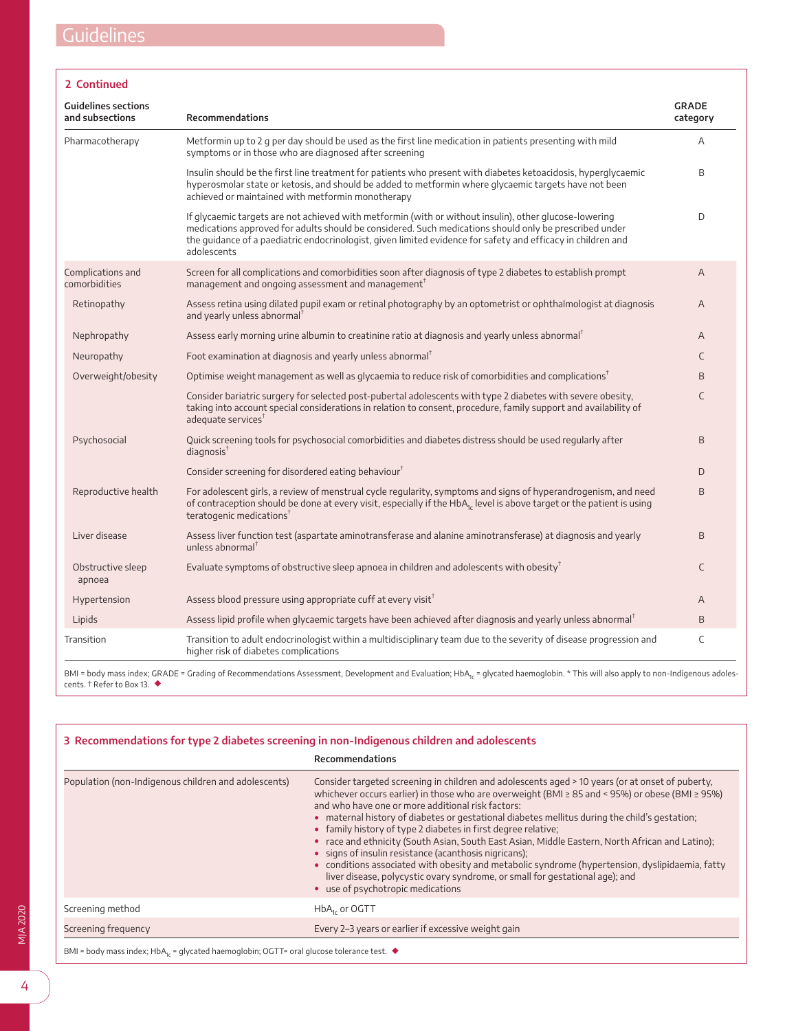|  | ontinued |  |
|--|----------|--|
|  |          |  |

| <b>Guidelines sections</b><br>and subsections | <b>Recommendations</b>                                                                                                                                                                                                                                                                                                                          | <b>GRADE</b><br>category |
|-----------------------------------------------|-------------------------------------------------------------------------------------------------------------------------------------------------------------------------------------------------------------------------------------------------------------------------------------------------------------------------------------------------|--------------------------|
| Pharmacotherapy                               | Metformin up to 2 g per day should be used as the first line medication in patients presenting with mild<br>symptoms or in those who are diagnosed after screening                                                                                                                                                                              | A                        |
|                                               | Insulin should be the first line treatment for patients who present with diabetes ketoacidosis, hyperglycaemic<br>hyperosmolar state or ketosis, and should be added to metformin where glycaemic targets have not been<br>achieved or maintained with metformin monotherapy                                                                    | B                        |
|                                               | If glycaemic targets are not achieved with metformin (with or without insulin), other glucose-lowering<br>medications approved for adults should be considered. Such medications should only be prescribed under<br>the quidance of a paediatric endocrinologist, given limited evidence for safety and efficacy in children and<br>adolescents | D                        |
| Complications and<br>comorbidities            | Screen for all complications and comorbidities soon after diagnosis of type 2 diabetes to establish prompt<br>management and ongoing assessment and management <sup>†</sup>                                                                                                                                                                     | A                        |
| Retinopathy                                   | Assess retina using dilated pupil exam or retinal photography by an optometrist or ophthalmologist at diagnosis<br>and yearly unless abnormal                                                                                                                                                                                                   | A                        |
| Nephropathy                                   | Assess early morning urine albumin to creatinine ratio at diagnosis and yearly unless abnormal                                                                                                                                                                                                                                                  | A                        |
| Neuropathy                                    | Foot examination at diagnosis and yearly unless abnormal <sup>T</sup>                                                                                                                                                                                                                                                                           | C                        |
| Overweight/obesity                            | Optimise weight management as well as glycaemia to reduce risk of comorbidities and complications <sup>†</sup>                                                                                                                                                                                                                                  | B                        |
|                                               | Consider bariatric surgery for selected post-pubertal adolescents with type 2 diabetes with severe obesity,<br>taking into account special considerations in relation to consent, procedure, family support and availability of<br>adequate services <sup>t</sup>                                                                               | C                        |
| Psychosocial                                  | Quick screening tools for psychosocial comorbidities and diabetes distress should be used regularly after<br>diagnosis <sup>T</sup>                                                                                                                                                                                                             | B                        |
|                                               | Consider screening for disordered eating behaviour <sup><math>T</math></sup>                                                                                                                                                                                                                                                                    | D                        |
| Reproductive health                           | For adolescent girls, a review of menstrual cycle regularity, symptoms and signs of hyperandrogenism, and need<br>of contraception should be done at every visit, especially if the HbA <sub>1c</sub> level is above target or the patient is using<br>teratogenic medications <sup><math>†</math></sup>                                        | B                        |
| Liver disease                                 | Assess liver function test (aspartate aminotransferase and alanine aminotransferase) at diagnosis and yearly<br>unless abnormal <sup>+</sup>                                                                                                                                                                                                    | B                        |
| Obstructive sleep<br>apnoea                   | Evaluate symptoms of obstructive sleep apnoea in children and adolescents with obesity <sup><math>\bar{t}</math></sup>                                                                                                                                                                                                                          | C                        |
| Hypertension                                  | Assess blood pressure using appropriate cuff at every visit <sup>†</sup>                                                                                                                                                                                                                                                                        | A                        |
| Lipids                                        | Assess lipid profile when glycaemic targets have been achieved after diagnosis and yearly unless abnormal <sup>†</sup>                                                                                                                                                                                                                          | B                        |
| Transition                                    | Transition to adult endocrinologist within a multidisciplinary team due to the severity of disease progression and<br>higher risk of diabetes complications                                                                                                                                                                                     | C                        |

cents. † Refer to Box 13. ◆

<span id="page-3-0"></span>

| 3 Recommendations for type 2 diabetes screening in non-Indigenous children and adolescents |                                                                                                                                                                                                                                                                                                                                                                                                                                                                                                                                                                                                                                                                                                                                                                                                                |  |  |  |
|--------------------------------------------------------------------------------------------|----------------------------------------------------------------------------------------------------------------------------------------------------------------------------------------------------------------------------------------------------------------------------------------------------------------------------------------------------------------------------------------------------------------------------------------------------------------------------------------------------------------------------------------------------------------------------------------------------------------------------------------------------------------------------------------------------------------------------------------------------------------------------------------------------------------|--|--|--|
| Recommendations                                                                            |                                                                                                                                                                                                                                                                                                                                                                                                                                                                                                                                                                                                                                                                                                                                                                                                                |  |  |  |
| Population (non-Indigenous children and adolescents)                                       | Consider targeted screening in children and adolescents aged > 10 years (or at onset of puberty,<br>whichever occurs earlier) in those who are overweight (BMI ≥ 85 and < 95%) or obese (BMI ≥ 95%)<br>and who have one or more additional risk factors:<br>• maternal history of diabetes or gestational diabetes mellitus during the child's gestation;<br>• family history of type 2 diabetes in first degree relative;<br>• race and ethnicity (South Asian, South East Asian, Middle Eastern, North African and Latino);<br>• signs of insulin resistance (acanthosis nigricans);<br>• conditions associated with obesity and metabolic syndrome (hypertension, dyslipidaemia, fatty<br>liver disease, polycystic ovary syndrome, or small for gestational age); and<br>• use of psychotropic medications |  |  |  |
| Screening method                                                                           | $HbA_{1c}$ or OGTT                                                                                                                                                                                                                                                                                                                                                                                                                                                                                                                                                                                                                                                                                                                                                                                             |  |  |  |
| Screening freguency                                                                        | Every 2-3 years or earlier if excessive weight gain                                                                                                                                                                                                                                                                                                                                                                                                                                                                                                                                                                                                                                                                                                                                                            |  |  |  |

BMI = body mass index; HbA<sub>1c</sub> = glycated haemoglobin; OGTT= oral glucose tolerance test.  $\blacklozenge$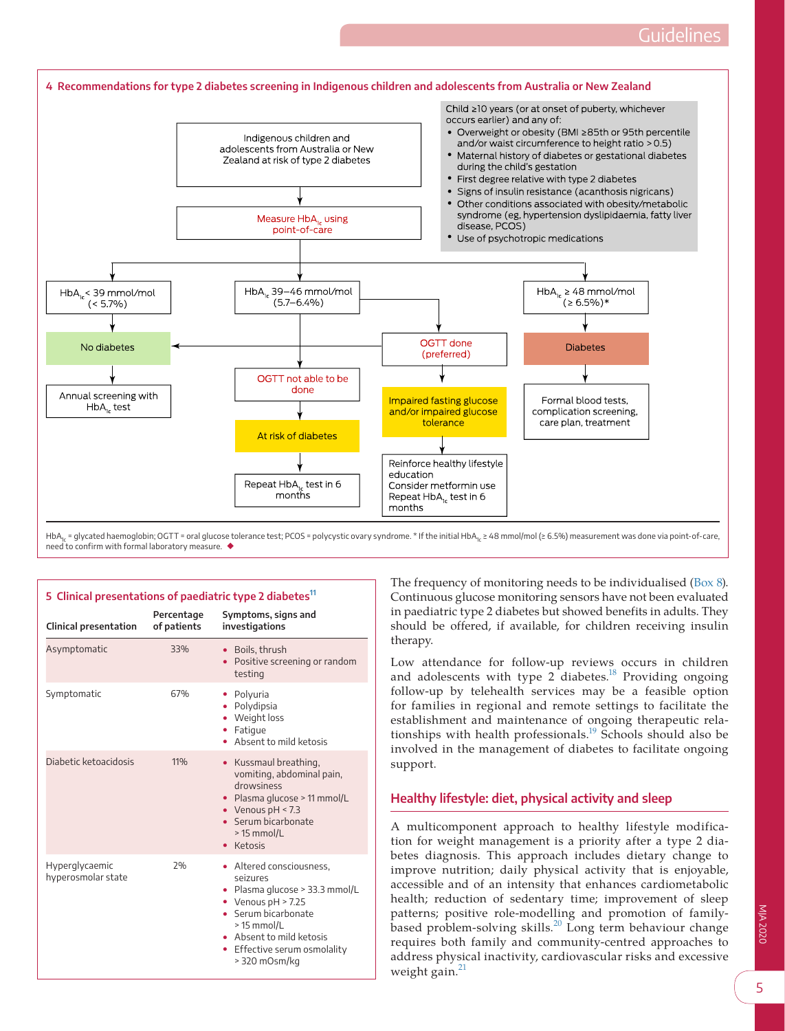<span id="page-4-0"></span>

HbA<sub>1c</sub> = glycated haemoglobin; OGTT = oral glucose tolerance test; PCOS = polycystic ovary syndrome. \* If the initial HbA<sub>1c</sub> ≥ 48 mmol/mol (≥ 6.5%) measurement was done via point-of-care, need to confirm with formal laboratory measure. ◆

# <span id="page-4-1"></span>**5 Clinical presentations of paediatric type 2 diabetes[11](#page-12-12)**

| <b>Clinical presentation</b>         | Percentage<br>of patients | Symptoms, signs and<br>investigations                                                                                                                                                                             |
|--------------------------------------|---------------------------|-------------------------------------------------------------------------------------------------------------------------------------------------------------------------------------------------------------------|
| Asymptomatic                         | 33%                       | • Boils, thrush<br>• Positive screening or random<br>testing                                                                                                                                                      |
| Symptomatic                          | 67%                       | • Polyuria<br>• Polydipsia<br>• Weight loss<br>Fatigue<br>$\bullet$<br>• Absent to mild ketosis                                                                                                                   |
| Diabetic ketoacidosis                | 11%                       | • Kussmaul breathing,<br>vomiting, abdominal pain,<br>drowsiness<br>• Plasma glucose > 11 mmol/L<br>• Venous $pH < 7.3$<br>· Serum bicarbonate<br>> 15 mmol/L<br>• Ketosis                                        |
| Hyperglycaemic<br>hyperosmolar state | 2%                        | • Altered consciousness,<br>Seizures<br>• Plasma glucose > 33.3 mmol/L<br>• Venous $pH > 7.25$<br>• Serum bicarbonate<br>> 15 mmol/L<br>• Absent to mild ketosis<br>• Effective serum osmolality<br>> 320 mOsm/kg |

The frequency of monitoring needs to be individualised [\(Box 8\)](#page-6-0). Continuous glucose monitoring sensors have not been evaluated in paediatric type 2 diabetes but showed benefits in adults. They should be offered, if available, for children receiving insulin therapy.

Low attendance for follow-up reviews occurs in children and adolescents with type  $2$  diabetes.<sup>18</sup> Providing ongoing follow-up by telehealth services may be a feasible option for families in regional and remote settings to facilitate the establishment and maintenance of ongoing therapeutic relationships with health professionals.<sup>19</sup> Schools should also be involved in the management of diabetes to facilitate ongoing support.

# **Healthy lifestyle: diet, physical activity and sleep**

A multicomponent approach to healthy lifestyle modification for weight management is a priority after a type 2 diabetes diagnosis. This approach includes dietary change to improve nutrition; daily physical activity that is enjoyable, accessible and of an intensity that enhances cardiometabolic health; reduction of sedentary time; improvement of sleep patterns; positive role-modelling and promotion of family-based problem-solving skills.<sup>[20](#page-12-10)</sup> Long term behaviour change requires both family and community-centred approaches to address physical inactivity, cardiovascular risks and excessive weight gain.<sup>2</sup>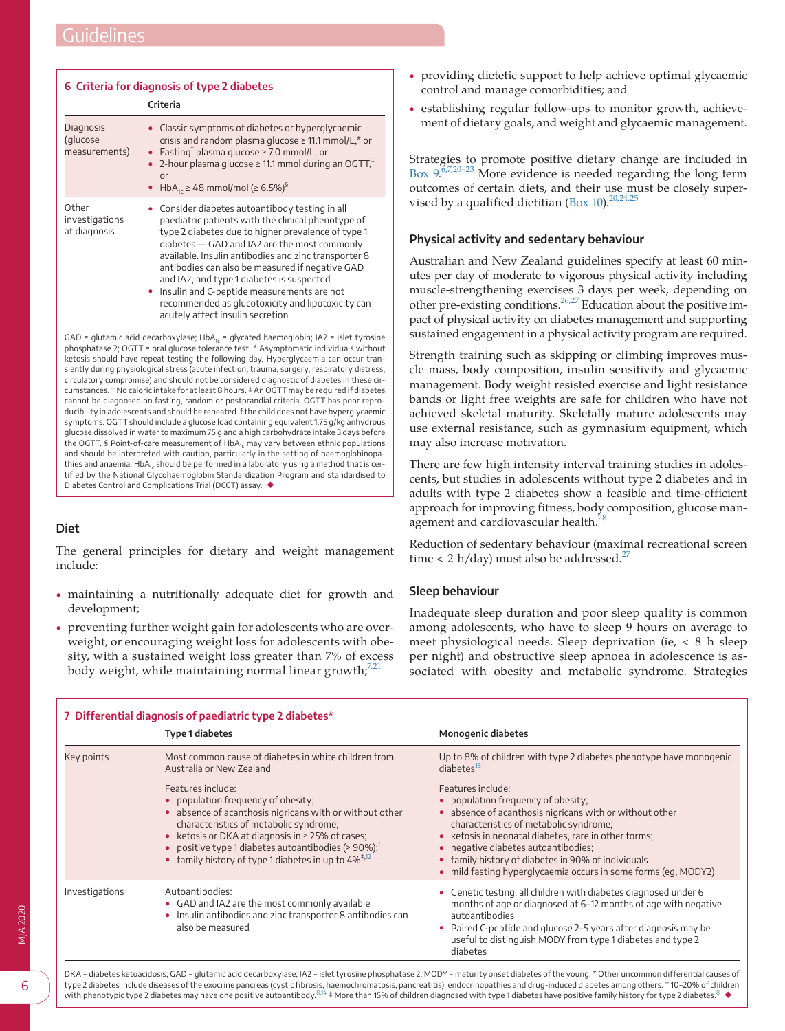<span id="page-5-0"></span>

|                                         | 6 Criteria for diagnosis of type 2 diabetes<br>Criteria                                                                                                                                                                                                                                                                                                                                                                                                                                                    |
|-----------------------------------------|------------------------------------------------------------------------------------------------------------------------------------------------------------------------------------------------------------------------------------------------------------------------------------------------------------------------------------------------------------------------------------------------------------------------------------------------------------------------------------------------------------|
| Diagnosis<br>(glucose<br>measurements)  | Classic symptoms of diabetes or hyperglycaemic<br>crisis and random plasma glucose $\geq$ 11.1 mmol/L,* or<br>Fasting <sup>†</sup> plasma glucose $\geq$ 7.0 mmol/L, or<br>2-hour plasma glucose $\geq$ 11.1 mmol during an OGTT, <sup><math>+</math></sup><br>or<br>• HbA <sub>1c</sub> $\geq$ 48 mmol/mol ( $\geq$ 6.5%) <sup>§</sup>                                                                                                                                                                    |
| Other<br>investigations<br>at diagnosis | Consider diabetes autoantibody testing in all<br>paediatric patients with the clinical phenotype of<br>type 2 diabetes due to higher prevalence of type 1<br>diabetes – GAD and IA2 are the most commonly<br>available. Insulin antibodies and zinc transporter 8<br>antibodies can also be measured if negative GAD<br>and IA2, and type 1 diabetes is suspected<br>• Insulin and C-peptide measurements are not<br>recommended as glucotoxicity and lipotoxicity can<br>acutely affect insulin secretion |

GAD = glutamic acid decarboxylase;  $HbA_{1c}$  = glycated haemoglobin; IA2 = islet tyrosine phosphatase 2; OGTT = oral glucose tolerance test. \* Asymptomatic individuals without ketosis should have repeat testing the following day. Hyperglycaemia can occur transiently during physiological stress (acute infection, trauma, surgery, respiratory distress, circulatory compromise) and should not be considered diagnostic of diabetes in these circumstances. † No caloric intake for at least 8 hours. ‡ An OGTT may be required if diabetes cannot be diagnosed on fasting, random or postprandial criteria. OGTT has poor reproducibility in adolescents and should be repeated if the child does not have hyperglycaemic symptoms. OGTT should include a glucose load containing equivalent 1.75 g/kg anhydrous glucose dissolved in water to maximum 75 g and a high carbohydrate intake 3 days before the OGTT. § Point-of-care measurement of  $HbA<sub>1c</sub>$  may vary between ethnic populations and should be interpreted with caution, particularly in the setting of haemoglobinopathies and anaemia. HbA<sub>1c</sub> should be performed in a laboratory using a method that is certified by the National Glycohaemoglobin Standardization Program and standardised to Diabetes Control and Complications Trial (DCCT) assay. ◆

# **Diet**

The general principles for dietary and weight management include:

- maintaining a nutritionally adequate diet for growth and development;
- preventing further weight gain for adolescents who are overweight, or encouraging weight loss for adolescents with obesity, with a sustained weight loss greater than 7% of excess body weight, while maintaining normal linear growth,<sup>[7,21](#page-12-5)</sup>
- providing dietetic support to help achieve optimal glycaemic control and manage comorbidities; and
- establishing regular follow-ups to monitor growth, achievement of dietary goals, and weight and glycaemic management.

Strategies to promote positive dietary change are included in [Box 9.](#page-6-1)<sup>6,7,20-23</sup> More evidence is needed regarding the long term outcomes of certain diets, and their use must be closely super-vised by a qualified dietitian ([Box 10](#page-7-0)).<sup>[20,24,25](#page-12-10)</sup>

# **Physical activity and sedentary behaviour**

Australian and New Zealand guidelines specify at least 60 minutes per day of moderate to vigorous physical activity including muscle-strengthening exercises 3 days per week, depending on other pre-existing conditions[.26,27](#page-12-13) Education about the positive impact of physical activity on diabetes management and supporting sustained engagement in a physical activity program are required.

Strength training such as skipping or climbing improves muscle mass, body composition, insulin sensitivity and glycaemic management. Body weight resisted exercise and light resistance bands or light free weights are safe for children who have not achieved skeletal maturity. Skeletally mature adolescents may use external resistance, such as gymnasium equipment, which may also increase motivation.

There are few high intensity interval training studies in adolescents, but studies in adolescents without type 2 diabetes and in adults with type 2 diabetes show a feasible and time-efficient approach for improving fitness, body composition, glucose management and cardiovascular health.<sup>2</sup>

Reduction of sedentary behaviour (maximal recreational screen time < 2 h/day) must also be addressed.<sup>[27](#page-12-15)</sup>

## **Sleep behaviour**

Inadequate sleep duration and poor sleep quality is common among adolescents, who have to sleep 9 hours on average to meet physiological needs. Sleep deprivation (ie, < 8 h sleep per night) and obstructive sleep apnoea in adolescence is associated with obesity and metabolic syndrome. Strategies

<span id="page-5-1"></span>

|                | <b>Type 1 diabetes</b>                                                                                                                                                                                                                                                                                                                                    | <b>Monogenic diabetes</b>                                                                                                                                                                                                                                                                                                                                                           |
|----------------|-----------------------------------------------------------------------------------------------------------------------------------------------------------------------------------------------------------------------------------------------------------------------------------------------------------------------------------------------------------|-------------------------------------------------------------------------------------------------------------------------------------------------------------------------------------------------------------------------------------------------------------------------------------------------------------------------------------------------------------------------------------|
| Key points     | Most common cause of diabetes in white children from<br>Australia or New Zealand                                                                                                                                                                                                                                                                          | Up to 8% of children with type 2 diabetes phenotype have monogenic<br>diabetes <sup>13</sup>                                                                                                                                                                                                                                                                                        |
|                | Features include:<br>• population frequency of obesity;<br>• absence of acanthosis nigricans with or without other<br>characteristics of metabolic syndrome;<br>• ketosis or DKA at diagnosis in $\geq$ 25% of cases;<br>• positive type 1 diabetes autoantibodies (> $90\%$ ); <sup>†</sup><br>• family history of type 1 diabetes in up to $4\%^{1,12}$ | Features include:<br>• population frequency of obesity;<br>• absence of acanthosis nigricans with or without other<br>characteristics of metabolic syndrome;<br>• ketosis in neonatal diabetes, rare in other forms;<br>• negative diabetes autoantibodies;<br>• family history of diabetes in 90% of individuals<br>• mild fasting hyperglycaemia occurs in some forms (eq. MODY2) |
| Investigations | Autoantibodies:<br>• GAD and IA2 are the most commonly available<br>• Insulin antibodies and zinc transporter 8 antibodies can<br>also be measured                                                                                                                                                                                                        | • Genetic testing: all children with diabetes diagnosed under 6<br>months of age or diagnosed at 6-12 months of age with negative<br>autoantibodies<br>• Paired C-peptide and glucose 2–5 years after diagnosis may be<br>useful to distinguish MODY from type 1 diabetes and type 2<br>diabetes                                                                                    |

DKA = diabetes ketoacidosis; GAD = glutamic acid decarboxylase; IA2 = islet tyrosine phosphatase 2; MODY = maturity onset diabetes of the young. \* Other uncommon differential causes of type 2 diabetes include diseases of the exocrine pancreas (cystic fibro[sis, h](#page-12-18)aemochromatosis, pancreatitis), endocrinopat[hi](#page-12-18)es and drug-induced diabetes among others. † 10–20% of children<br>with phenotypic type 2 diabetes ma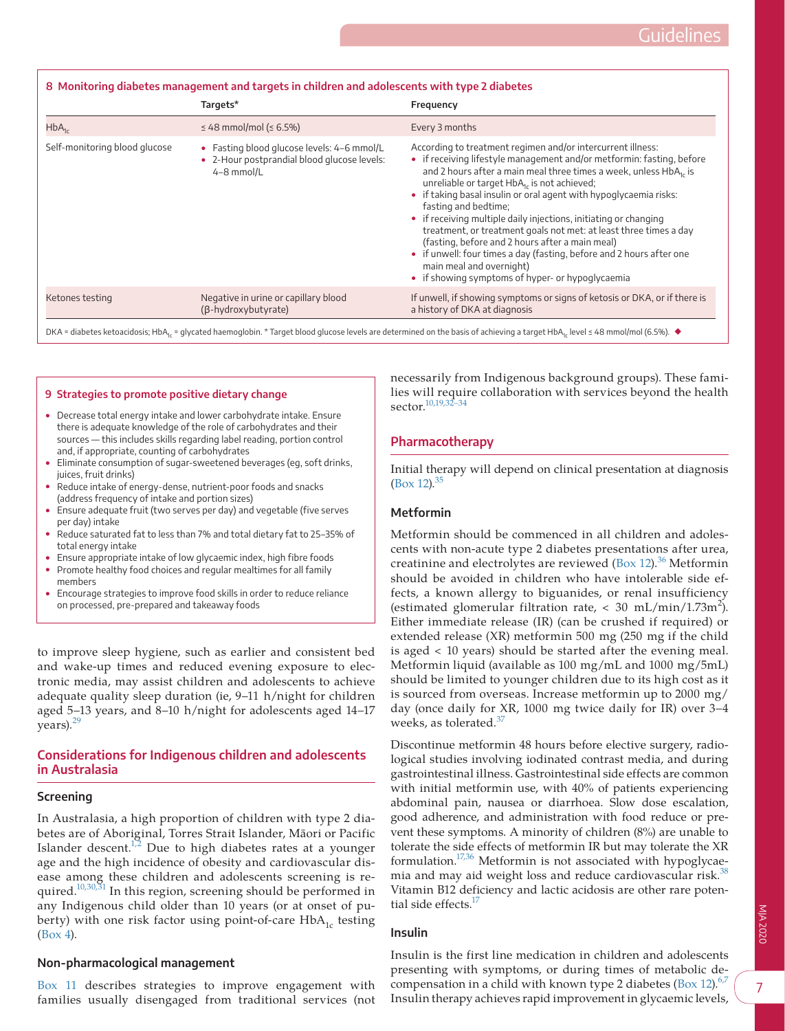<span id="page-6-0"></span>

| 8 Monitoring diabetes management and targets in children and adolescents with type 2 diabetes |                                                                                                         |                                                                                                                                                                                                                                                                                                                                                                                                                                                                                                                                                                                                                                                                                                         |  |  |
|-----------------------------------------------------------------------------------------------|---------------------------------------------------------------------------------------------------------|---------------------------------------------------------------------------------------------------------------------------------------------------------------------------------------------------------------------------------------------------------------------------------------------------------------------------------------------------------------------------------------------------------------------------------------------------------------------------------------------------------------------------------------------------------------------------------------------------------------------------------------------------------------------------------------------------------|--|--|
|                                                                                               | Targets*                                                                                                | Frequency                                                                                                                                                                                                                                                                                                                                                                                                                                                                                                                                                                                                                                                                                               |  |  |
| $HbA_{1c}$                                                                                    | ≤ 48 mmol/mol (≤ 6.5%)                                                                                  | Every 3 months                                                                                                                                                                                                                                                                                                                                                                                                                                                                                                                                                                                                                                                                                          |  |  |
| Self-monitoring blood glucose                                                                 | • Fasting blood glucose levels: 4-6 mmol/L<br>• 2-Hour postprandial blood glucose levels:<br>4-8 mmol/L | According to treatment regimen and/or intercurrent illness:<br>• if receiving lifestyle management and/or metformin: fasting, before<br>and 2 hours after a main meal three times a week, unless HbA, is<br>unreliable or target HbA, is not achieved;<br>• if taking basal insulin or oral agent with hypoglycaemia risks:<br>fasting and bedtime;<br>• if receiving multiple daily injections, initiating or changing<br>treatment, or treatment goals not met: at least three times a day<br>(fasting, before and 2 hours after a main meal)<br>• if unwell: four times a day (fasting, before and 2 hours after one<br>main meal and overnight)<br>• if showing symptoms of hyper- or hypoglycaemia |  |  |
| Ketones testing                                                                               | Negative in urine or capillary blood<br>(B-hydroxybutyrate)                                             | If unwell, if showing symptoms or signs of ketosis or DKA, or if there is<br>a history of DKA at diagnosis                                                                                                                                                                                                                                                                                                                                                                                                                                                                                                                                                                                              |  |  |

DKA = diabetes ketoacidosis; HbA<sub>1c</sub> = glycated haemoglobin. \* Target blood glucose levels are determined on the basis of achieving a target HbA<sub>1c</sub> level ≤ 48 mmol/mol (6.5%). ◆

#### <span id="page-6-1"></span>**9 Strategies to promote positive dietary change**

- Decrease total energy intake and lower carbohydrate intake. Ensure there is adequate knowledge of the role of carbohydrates and their sources — this includes skills regarding label reading, portion control and, if appropriate, counting of carbohydrates
- Eliminate consumption of sugar-sweetened beverages (eg, soft drinks, juices, fruit drinks)
- Reduce intake of energy-dense, nutrient-poor foods and snacks (address frequency of intake and portion sizes)
- Ensure adequate fruit (two serves per day) and vegetable (five serves per day) intake
- Reduce saturated fat to less than 7% and total dietary fat to 25–35% of total energy intake
- Ensure appropriate intake of low glycaemic index, high fibre foods • Promote healthy food choices and regular mealtimes for all family members
- Encourage strategies to improve food skills in order to reduce reliance on processed, pre-prepared and takeaway foods

to improve sleep hygiene, such as earlier and consistent bed and wake-up times and reduced evening exposure to electronic media, may assist children and adolescents to achieve adequate quality sleep duration (ie, 9–11 h/night for children aged 5–13 years, and 8–10 h/night for adolescents aged 14–17 years).<sup>[29](#page-12-19)</sup>

## **Considerations for Indigenous children and adolescents in Australasia**

#### **Screening**

In Australasia, a high proportion of children with type 2 diabetes are of Aboriginal, Torres Strait Islander, Māori or Pacific Islander descent. $1/2$  Due to high diabetes rates at a younger age and the high incidence of obesity and cardiovascular disease among these children and adolescents screening is required.<sup>10,30,31</sup> In this region, screening should be performed in any Indigenous child older than 10 years (or at onset of puberty) with one risk factor using point-of-care  $HbA_{1c}$  testing [\(Box 4](#page-4-0)).

## **Non-pharmacological management**

[Box 11](#page-8-0) describes strategies to improve engagement with families usually disengaged from traditional services (not

necessarily from Indigenous background groups). These families will require collaboration with services beyond the health sector.[10,19,32–34](#page-12-20)

## **Pharmacotherapy**

Initial therapy will depend on clinical presentation at diagnosis  $(Box 12).^{35}$  $(Box 12).^{35}$  $(Box 12).^{35}$  $(Box 12).^{35}$  $(Box 12).^{35}$ 

## **Metformin**

Metformin should be commenced in all children and adolescents with non-acute type 2 diabetes presentations after urea, creatinine and electrolytes are reviewed [\(Box 12\)](#page-9-0).<sup>36</sup> Metformin should be avoided in children who have intolerable side effects, a known allergy to biguanides, or renal insufficiency (estimated glomerular filtration rate,  $<$  30 mL/min/1.73m<sup>2</sup>). Either immediate release (IR) (can be crushed if required) or extended release (XR) metformin 500 mg (250 mg if the child is aged < 10 years) should be started after the evening meal. Metformin liquid (available as 100 mg/mL and 1000 mg/5mL) should be limited to younger children due to its high cost as it is sourced from overseas. Increase metformin up to 2000 mg/ day (once daily for XR, 1000 mg twice daily for IR) over 3–4 weeks, as tolerated. $37$ 

Discontinue metformin 48 hours before elective surgery, radiological studies involving iodinated contrast media, and during gastrointestinal illness. Gastrointestinal side effects are common with initial metformin use, with 40% of patients experiencing abdominal pain, nausea or diarrhoea. Slow dose escalation, good adherence, and administration with food reduce or prevent these symptoms. A minority of children (8%) are unable to tolerate the side effects of metformin IR but may tolerate the XR formulation. $17,36$  Metformin is not associated with hypoglycae-mia and may aid weight loss and reduce cardiovascular risk.<sup>[38](#page-13-1)</sup> Vitamin B12 deficiency and lactic acidosis are other rare potential side effects.<sup>17</sup>

## **Insulin**

Insulin is the first line medication in children and adolescents presenting with symptoms, or during times of metabolic de-compensation in a child with known type 2 diabetes [\(Box 12\)](#page-9-0).<sup>[6,7](#page-12-4)</sup> Insulin therapy achieves rapid improvement in glycaemic levels,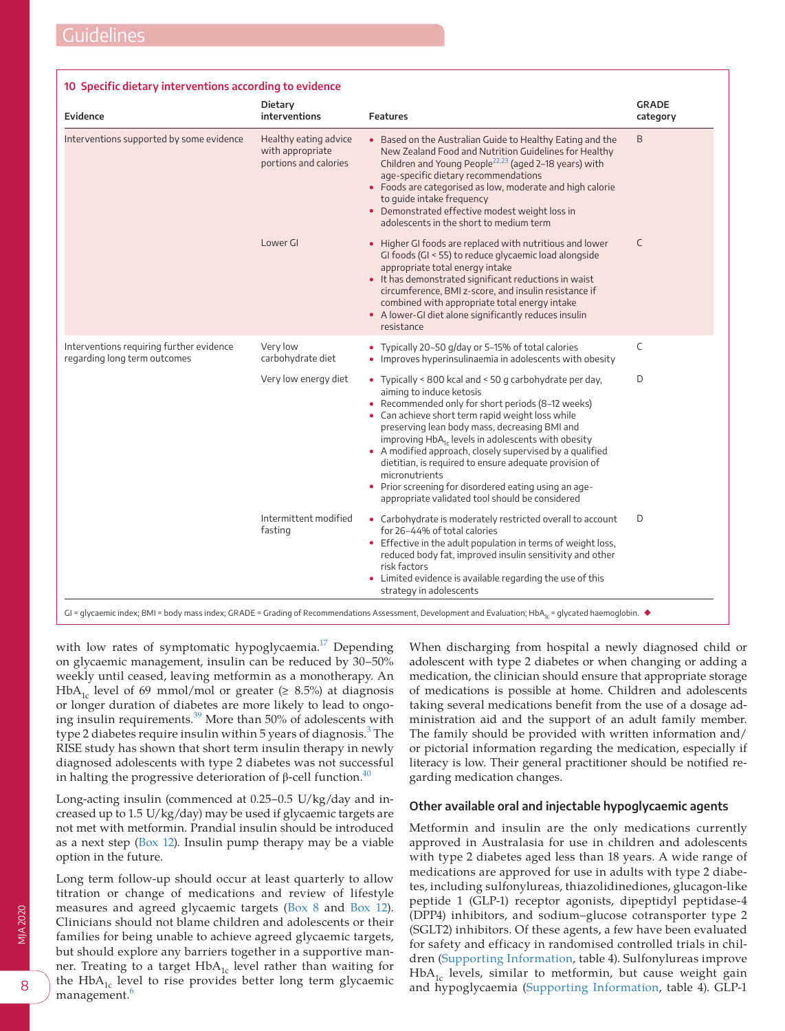#### <span id="page-7-0"></span>**10 Specific dietary interventions according to evidence**

| Evidence                                                                 | Dietary<br>interventions                                           | <b>Features</b>                                                                                                                                                                                                                                                                                                                                                                                                                                                                                                                                              | <b>GRADE</b><br>category |
|--------------------------------------------------------------------------|--------------------------------------------------------------------|--------------------------------------------------------------------------------------------------------------------------------------------------------------------------------------------------------------------------------------------------------------------------------------------------------------------------------------------------------------------------------------------------------------------------------------------------------------------------------------------------------------------------------------------------------------|--------------------------|
| Interventions supported by some evidence                                 | Healthy eating advice<br>with appropriate<br>portions and calories | • Based on the Australian Guide to Healthy Eating and the<br>New Zealand Food and Nutrition Guidelines for Healthy<br>Children and Young People <sup>22,23</sup> (aged 2–18 years) with<br>age-specific dietary recommendations<br>• Foods are categorised as low, moderate and high calorie<br>to guide intake frequency<br>• Demonstrated effective modest weight loss in<br>adolescents in the short to medium term                                                                                                                                       | B                        |
|                                                                          | Lower GI                                                           | • Higher GI foods are replaced with nutritious and lower<br>GI foods (GI < 55) to reduce glycaemic load alongside<br>appropriate total energy intake<br>• It has demonstrated significant reductions in waist<br>circumference, BMI z-score, and insulin resistance if<br>combined with appropriate total energy intake<br>• A lower-GI diet alone significantly reduces insulin<br>resistance                                                                                                                                                               | C                        |
| Interventions requiring further evidence<br>regarding long term outcomes | Very low<br>carbohydrate diet                                      | • Typically 20-50 g/day or 5-15% of total calories<br>• Improves hyperinsulinaemia in adolescents with obesity                                                                                                                                                                                                                                                                                                                                                                                                                                               | C                        |
|                                                                          | Very low energy diet                                               | • Typically < 800 kcal and < 50 g carbohydrate per day,<br>aiming to induce ketosis<br>• Recommended only for short periods (8-12 weeks)<br>• Can achieve short term rapid weight loss while<br>preserving lean body mass, decreasing BMI and<br>improving $HbA_{1c}$ levels in adolescents with obesity<br>• A modified approach, closely supervised by a qualified<br>dietitian, is required to ensure adequate provision of<br>micronutrients<br>• Prior screening for disordered eating using an age-<br>appropriate validated tool should be considered | D                        |
|                                                                          | Intermittent modified<br>fasting                                   | • Carbohydrate is moderately restricted overall to account<br>for 26-44% of total calories<br>• Effective in the adult population in terms of weight loss,<br>reduced body fat, improved insulin sensitivity and other<br>risk factors<br>• Limited evidence is available regarding the use of this<br>strategy in adolescents                                                                                                                                                                                                                               | D                        |

with low rates of symptomatic hypoglycaemia.<sup>17</sup> Depending on glycaemic management, insulin can be reduced by 30–50% weekly until ceased, leaving metformin as a monotherapy. An HbA<sub>1c</sub> level of 69 mmol/mol or greater ( $\geq$  8.5%) at diagnosis or longer duration of diabetes are more likely to lead to ongo-ing insulin requirements.<sup>[39](#page-13-2)</sup> More than 50% of adolescents with type 2 diabetes require insulin within 5 years of diagnosis.<sup>[3](#page-12-2)</sup> The RISE study has shown that short term insulin therapy in newly diagnosed adolescents with type 2 diabetes was not successful in halting the progressive deterioration of  $\beta$ -cell function.<sup>40</sup>

Long-acting insulin (commenced at 0.25–0.5 U/kg/day and increased up to 1.5 U/kg/day) may be used if glycaemic targets are not met with metformin. Prandial insulin should be introduced as a next step [\(Box 12\)](#page-9-0). Insulin pump therapy may be a viable option in the future.

Long term follow-up should occur at least quarterly to allow titration or change of medications and review of lifestyle measures and agreed glycaemic targets [\(Box 8](#page-6-0) and [Box 12\)](#page-9-0). Clinicians should not blame children and adolescents or their families for being unable to achieve agreed glycaemic targets, but should explore any barriers together in a supportive manner. Treating to a target  $HbA_{1c}$  level rather than waiting for the  $HbA_{1c}$  level to rise provides better long term glycaemic management.<sup>[6](#page-12-4)</sup>

When discharging from hospital a newly diagnosed child or adolescent with type 2 diabetes or when changing or adding a medication, the clinician should ensure that appropriate storage of medications is possible at home. Children and adolescents taking several medications benefit from the use of a dosage administration aid and the support of an adult family member. The family should be provided with written information and/ or pictorial information regarding the medication, especially if literacy is low. Their general practitioner should be notified regarding medication changes.

## **Other available oral and injectable hypoglycaemic agents**

Metformin and insulin are the only medications currently approved in Australasia for use in children and adolescents with type 2 diabetes aged less than 18 years. A wide range of medications are approved for use in adults with type 2 diabetes, including sulfonylureas, thiazolidinediones, glucagon-like peptide 1 (GLP-1) receptor agonists, dipeptidyl peptidase-4 (DPP4) inhibitors, and sodium–glucose cotransporter type 2 (SGLT2) inhibitors. Of these agents, a few have been evaluated for safety and efficacy in randomised controlled trials in children [\(Supporting Information,](#page-13-0) table 4). Sulfonylureas improve  $HbA<sub>1c</sub>$  levels, similar to metformin, but cause weight gain and hypoglycaemia [\(Supporting Information,](#page-13-0) table 4). GLP-1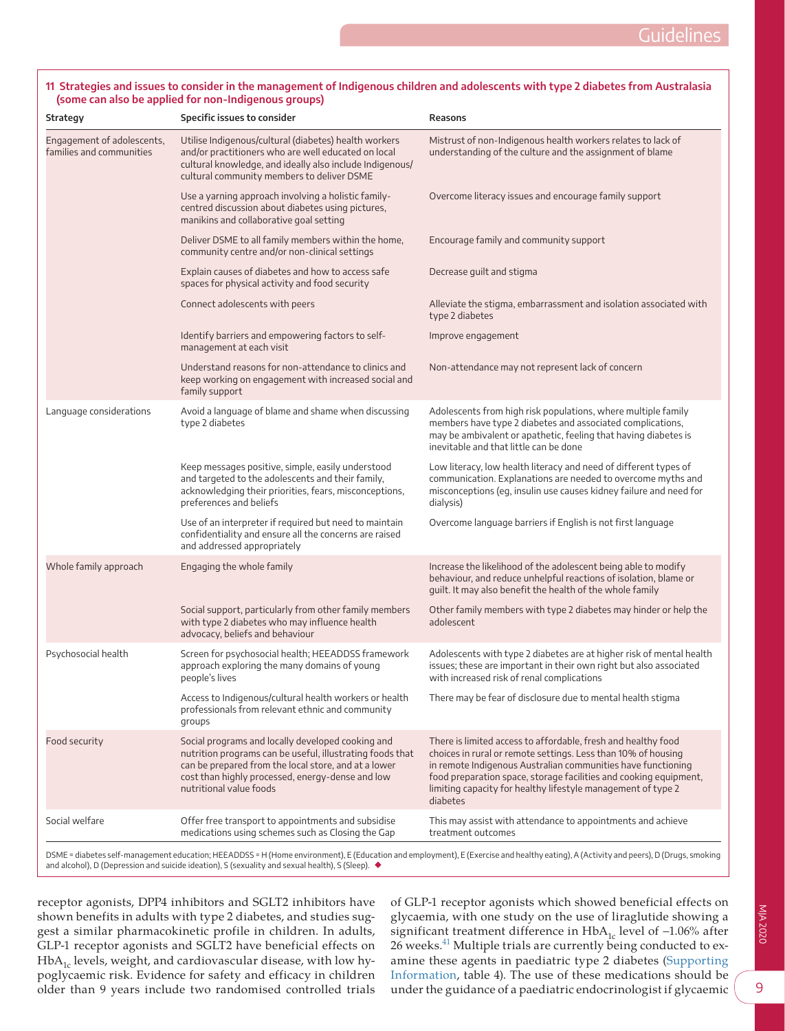## <span id="page-8-0"></span>**11 Strategies and issues to consider in the management of Indigenous children and adolescents with type 2 diabetes from Australasia (some can also be applied for non-Indigenous groups)**

| Strategy                                               | Specific issues to consider                                                                                                                                                                                                                           | Reasons                                                                                                                                                                                                                                                                                                                                         |
|--------------------------------------------------------|-------------------------------------------------------------------------------------------------------------------------------------------------------------------------------------------------------------------------------------------------------|-------------------------------------------------------------------------------------------------------------------------------------------------------------------------------------------------------------------------------------------------------------------------------------------------------------------------------------------------|
| Engagement of adolescents,<br>families and communities | Utilise Indigenous/cultural (diabetes) health workers<br>and/or practitioners who are well educated on local<br>cultural knowledge, and ideally also include Indigenous/<br>cultural community members to deliver DSME                                | Mistrust of non-Indigenous health workers relates to lack of<br>understanding of the culture and the assignment of blame                                                                                                                                                                                                                        |
|                                                        | Use a yarning approach involving a holistic family-<br>centred discussion about diabetes using pictures,<br>manikins and collaborative goal setting                                                                                                   | Overcome literacy issues and encourage family support                                                                                                                                                                                                                                                                                           |
|                                                        | Deliver DSME to all family members within the home,<br>community centre and/or non-clinical settings                                                                                                                                                  | Encourage family and community support                                                                                                                                                                                                                                                                                                          |
|                                                        | Explain causes of diabetes and how to access safe<br>spaces for physical activity and food security                                                                                                                                                   | Decrease guilt and stigma                                                                                                                                                                                                                                                                                                                       |
|                                                        | Connect adolescents with peers                                                                                                                                                                                                                        | Alleviate the stigma, embarrassment and isolation associated with<br>type 2 diabetes                                                                                                                                                                                                                                                            |
|                                                        | Identify barriers and empowering factors to self-<br>management at each visit                                                                                                                                                                         | Improve engagement                                                                                                                                                                                                                                                                                                                              |
|                                                        | Understand reasons for non-attendance to clinics and<br>keep working on engagement with increased social and<br>family support                                                                                                                        | Non-attendance may not represent lack of concern                                                                                                                                                                                                                                                                                                |
| Language considerations                                | Avoid a language of blame and shame when discussing<br>type 2 diabetes                                                                                                                                                                                | Adolescents from high risk populations, where multiple family<br>members have type 2 diabetes and associated complications,<br>may be ambivalent or apathetic, feeling that having diabetes is<br>inevitable and that little can be done                                                                                                        |
|                                                        | Keep messages positive, simple, easily understood<br>and targeted to the adolescents and their family,<br>acknowledging their priorities, fears, misconceptions,<br>preferences and beliefs                                                           | Low literacy, low health literacy and need of different types of<br>communication. Explanations are needed to overcome myths and<br>misconceptions (eg, insulin use causes kidney failure and need for<br>dialysis)                                                                                                                             |
|                                                        | Use of an interpreter if required but need to maintain<br>confidentiality and ensure all the concerns are raised<br>and addressed appropriately                                                                                                       | Overcome language barriers if English is not first language                                                                                                                                                                                                                                                                                     |
| Whole family approach                                  | Engaging the whole family                                                                                                                                                                                                                             | Increase the likelihood of the adolescent being able to modify<br>behaviour, and reduce unhelpful reactions of isolation, blame or<br>guilt. It may also benefit the health of the whole family                                                                                                                                                 |
|                                                        | Social support, particularly from other family members<br>with type 2 diabetes who may influence health<br>advocacy, beliefs and behaviour                                                                                                            | Other family members with type 2 diabetes may hinder or help the<br>adolescent                                                                                                                                                                                                                                                                  |
| Psychosocial health                                    | Screen for psychosocial health; HEEADDSS framework<br>approach exploring the many domains of young<br>people's lives                                                                                                                                  | Adolescents with type 2 diabetes are at higher risk of mental health<br>issues; these are important in their own right but also associated<br>with increased risk of renal complications                                                                                                                                                        |
|                                                        | Access to Indigenous/cultural health workers or health<br>professionals from relevant ethnic and community<br>groups                                                                                                                                  | There may be fear of disclosure due to mental health stigma                                                                                                                                                                                                                                                                                     |
| Food security                                          | Social programs and locally developed cooking and<br>nutrition programs can be useful, illustrating foods that<br>can be prepared from the local store, and at a lower<br>cost than highly processed, energy-dense and low<br>nutritional value foods | There is limited access to affordable, fresh and healthy food<br>choices in rural or remote settings. Less than 10% of housing<br>in remote Indigenous Australian communities have functioning<br>food preparation space, storage facilities and cooking equipment,<br>limiting capacity for healthy lifestyle management of type 2<br>diabetes |
| Social welfare                                         | Offer free transport to appointments and subsidise<br>medications using schemes such as Closing the Gap                                                                                                                                               | This may assist with attendance to appointments and achieve<br>treatment outcomes                                                                                                                                                                                                                                                               |

receptor agonists, DPP4 inhibitors and SGLT2 inhibitors have shown benefits in adults with type 2 diabetes, and studies suggest a similar pharmacokinetic profile in children. In adults, GLP-1 receptor agonists and SGLT2 have beneficial effects on  $HbA_{1c}$  levels, weight, and cardiovascular disease, with low hypoglycaemic risk. Evidence for safety and efficacy in children older than 9 years include two randomised controlled trials of GLP-1 receptor agonists which showed beneficial effects on glycaemia, with one study on the use of liraglutide showing a significant treatment difference in  $HbA_{1c}$  level of -1.06% after 26 weeks.<sup>41</sup> Multiple trials are currently being conducted to examine these agents in paediatric type 2 diabetes ([Supporting](#page-13-0)  [Information,](#page-13-0) table 4). The use of these medications should be under the guidance of a paediatric endocrinologist if glycaemic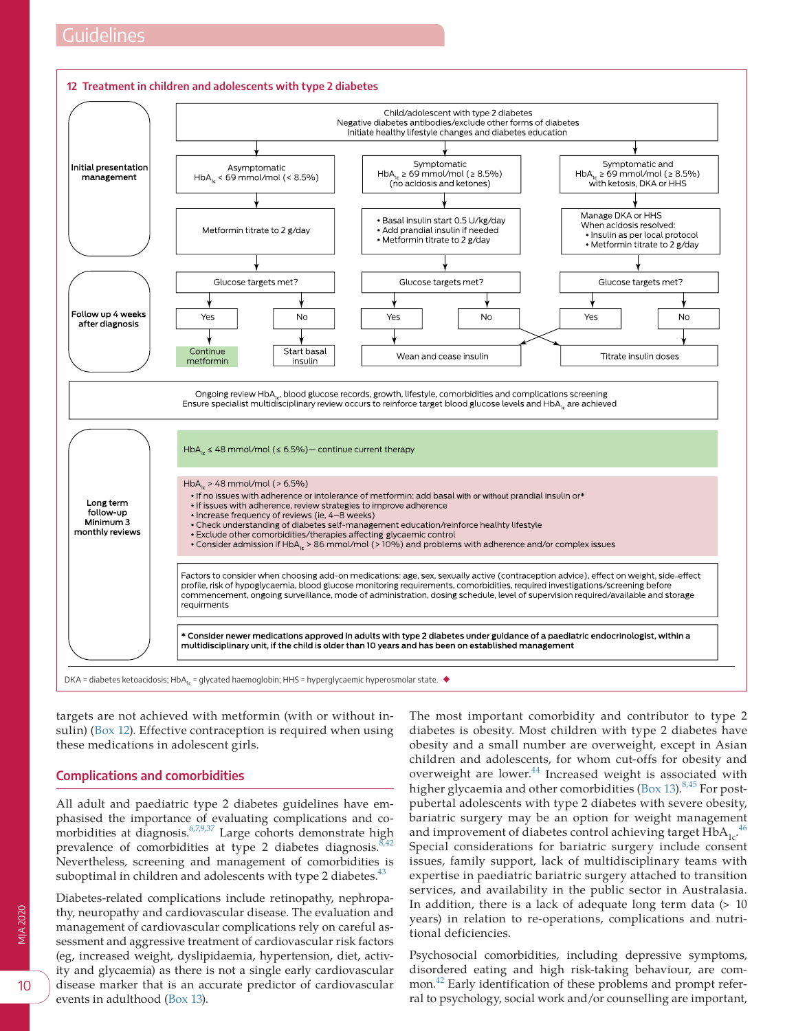<span id="page-9-0"></span>

targets are not achieved with metformin (with or without insulin) ([Box 12](#page-9-0)). Effective contraception is required when using these medications in adolescent girls.

# **Complications and comorbidities**

All adult and paediatric type 2 diabetes guidelines have emphasised the importance of evaluating complications and comorbidities at diagnosis. $6,7,9,37$  Large cohorts demonstrate high prevalence of comorbidities at type 2 diabetes diagnosis.  $8,42$ Nevertheless, screening and management of comorbidities is suboptimal in children and adolescents with type 2 diabetes. $43$ 

Diabetes-related complications include retinopathy, nephropathy, neuropathy and cardiovascular disease. The evaluation and management of cardiovascular complications rely on careful assessment and aggressive treatment of cardiovascular risk factors (eg, increased weight, dyslipidaemia, hypertension, diet, activity and glycaemia) as there is not a single early cardiovascular disease marker that is an accurate predictor of cardiovascular events in adulthood ([Box 13](#page-10-0)).

The most important comorbidity and contributor to type 2 diabetes is obesity. Most children with type 2 diabetes have obesity and a small number are overweight, except in Asian children and adolescents, for whom cut-offs for obesity and overweight are lower.<sup>44</sup> Increased weight is associated with higher glycaemia and other comorbidities [\(Box 13](#page-10-0)). $8,45$  For postpubertal adolescents with type 2 diabetes with severe obesity, bariatric surgery may be an option for weight management and improvement of diabetes control achieving target  $\text{HbA}_{1c}$ .<sup>[46](#page-13-7)</sup> Special considerations for bariatric surgery include consent issues, family support, lack of multidisciplinary teams with expertise in paediatric bariatric surgery attached to transition services, and availability in the public sector in Australasia. In addition, there is a lack of adequate long term data (> 10 years) in relation to re-operations, complications and nutritional deficiencies.

Psychosocial comorbidities, including depressive symptoms, disordered eating and high risk-taking behaviour, are common.[42](#page-13-8) Early identification of these problems and prompt referral to psychology, social work and/or counselling are important,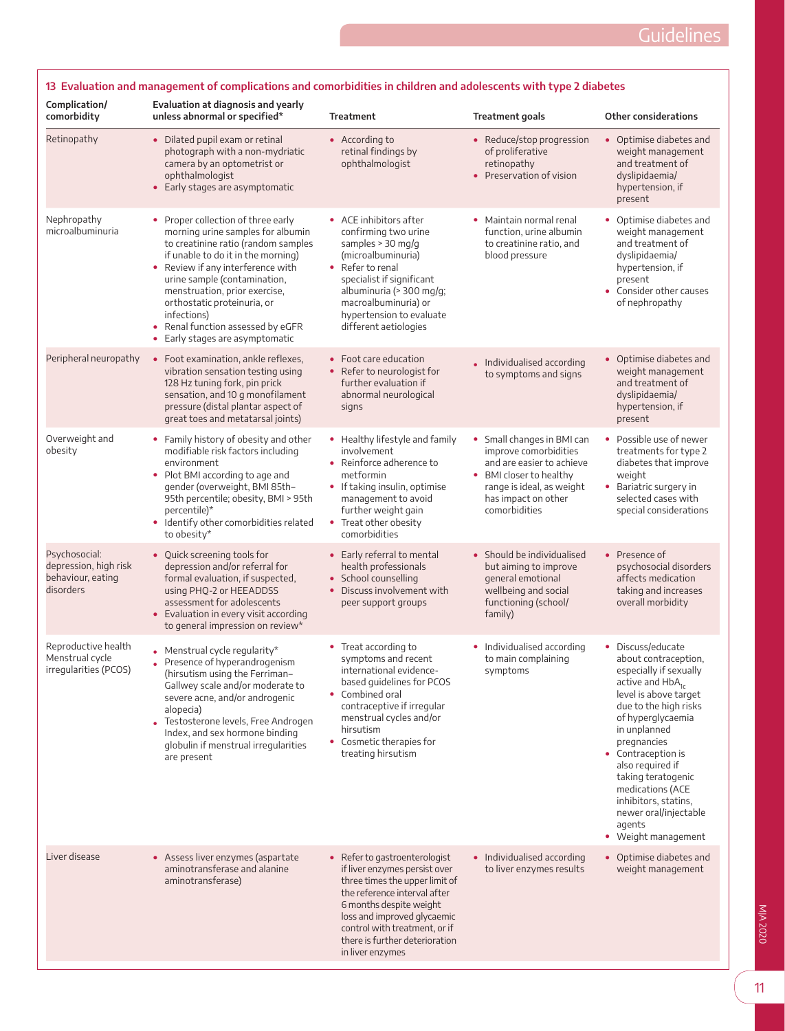j

<span id="page-10-0"></span>

| Complication/<br>comorbidity                                             | Evaluation at diagnosis and yearly<br>unless abnormal or specified*                                                                                                                                                                                                                                                                                                                    | <b>Treatment</b>                                                                                                                                                                                                                                                                  | <b>Treatment goals</b>                                                                                                                                                           | <b>Other considerations</b>                                                                                                                                                                                                                                                                                                                                                     |
|--------------------------------------------------------------------------|----------------------------------------------------------------------------------------------------------------------------------------------------------------------------------------------------------------------------------------------------------------------------------------------------------------------------------------------------------------------------------------|-----------------------------------------------------------------------------------------------------------------------------------------------------------------------------------------------------------------------------------------------------------------------------------|----------------------------------------------------------------------------------------------------------------------------------------------------------------------------------|---------------------------------------------------------------------------------------------------------------------------------------------------------------------------------------------------------------------------------------------------------------------------------------------------------------------------------------------------------------------------------|
| Retinopathy                                                              | • Dilated pupil exam or retinal<br>photograph with a non-mydriatic<br>camera by an optometrist or<br>ophthalmologist<br>• Early stages are asymptomatic                                                                                                                                                                                                                                | • According to<br>retinal findings by<br>ophthalmologist                                                                                                                                                                                                                          | • Reduce/stop progression<br>of proliferative<br>retinopathy<br>• Preservation of vision                                                                                         | • Optimise diabetes and<br>weight management<br>and treatment of<br>dyslipidaemia/<br>hypertension, if<br>present                                                                                                                                                                                                                                                               |
| Nephropathy<br>microalbuminuria                                          | • Proper collection of three early<br>morning urine samples for albumin<br>to creatinine ratio (random samples<br>if unable to do it in the morning)<br>• Review if any interference with<br>urine sample (contamination,<br>menstruation, prior exercise,<br>orthostatic proteinuria, or<br>infections)<br>Renal function assessed by eGFR<br>٠<br>Early stages are asymptomatic<br>٠ | • ACE inhibitors after<br>confirming two urine<br>samples > 30 mg/g<br>(microalbuminuria)<br>• Refer to renal<br>specialist if significant<br>albuminuria (> 300 mg/g;<br>macroalbuminuria) or<br>hypertension to evaluate<br>different aetiologies                               | • Maintain normal renal<br>function, urine albumin<br>to creatinine ratio, and<br>blood pressure                                                                                 | • Optimise diabetes and<br>weight management<br>and treatment of<br>dyslipidaemia/<br>hypertension, if<br>present<br>• Consider other causes<br>of nephropathy                                                                                                                                                                                                                  |
| Peripheral neuropathy                                                    | • Foot examination, ankle reflexes,<br>vibration sensation testing using<br>128 Hz tuning fork, pin prick<br>sensation, and 10 g monofilament<br>pressure (distal plantar aspect of<br>great toes and metatarsal joints)                                                                                                                                                               | • Foot care education<br>• Refer to neurologist for<br>further evaluation if<br>abnormal neurological<br>signs                                                                                                                                                                    | . Individualised according<br>to symptoms and signs                                                                                                                              | • Optimise diabetes and<br>weight management<br>and treatment of<br>dyslipidaemia/<br>hypertension, if<br>present                                                                                                                                                                                                                                                               |
| Overweight and<br>obesity                                                | • Family history of obesity and other<br>modifiable risk factors including<br>environment<br>• Plot BMI according to age and<br>gender (overweight, BMI 85th-<br>95th percentile; obesity, BMI > 95th<br>percentile)*<br>• Identify other comorbidities related<br>to obesity*                                                                                                         | • Healthy lifestyle and family<br>involvement<br>• Reinforce adherence to<br>metformin<br>• If taking insulin, optimise<br>management to avoid<br>further weight gain<br>• Treat other obesity<br>comorbidities                                                                   | • Small changes in BMI can<br>improve comorbidities<br>and are easier to achieve<br>• BMI closer to healthy<br>range is ideal, as weight<br>has impact on other<br>comorbidities | • Possible use of newer<br>treatments for type 2<br>diabetes that improve<br>weight<br>• Bariatric surgery in<br>selected cases with<br>special considerations                                                                                                                                                                                                                  |
| Psychosocial:<br>depression, high risk<br>behaviour, eating<br>disorders | • Quick screening tools for<br>depression and/or referral for<br>formal evaluation, if suspected,<br>using PHQ-2 or HEEADDSS<br>assessment for adolescents<br>• Evaluation in every visit according<br>to general impression on review*                                                                                                                                                | • Early referral to mental<br>health professionals<br>• School counselling<br>• Discuss involvement with<br>peer support groups                                                                                                                                                   | • Should be individualised<br>but aiming to improve<br>general emotional<br>wellbeing and social<br>functioning (school/<br>family)                                              | • Presence of<br>psychosocial disorders<br>affects medication<br>taking and increases<br>overall morbidity                                                                                                                                                                                                                                                                      |
| Reproductive health<br>Menstrual cycle<br>irregularities (PCOS)          | Menstrual cycle regularity*<br>Presence of hyperandrogenism<br>(hirsutism using the Ferriman-<br>Gallwey scale and/or moderate to<br>severe acne, and/or androgenic<br>alopecia)<br>Testosterone levels, Free Androgen<br>Index, and sex hormone binding<br>globulin if menstrual irregularities<br>are present                                                                        | • Treat according to<br>symptoms and recent<br>international evidence-<br>based quidelines for PCOS<br>• Combined oral<br>contraceptive if irregular<br>menstrual cycles and/or<br>hirsutism<br>• Cosmetic therapies for<br>treating hirsutism                                    | • Individualised according<br>to main complaining<br>symptoms                                                                                                                    | • Discuss/educate<br>about contraception,<br>especially if sexually<br>active and HbA <sub>1c</sub><br>level is above target<br>due to the high risks<br>of hyperglycaemia<br>in unplanned<br>pregnancies<br>• Contraception is<br>also required if<br>taking teratogenic<br>medications (ACE<br>inhibitors, statins,<br>newer oral/injectable<br>agents<br>• Weight management |
| Liver disease                                                            | • Assess liver enzymes (aspartate<br>aminotransferase and alanine<br>aminotransferase)                                                                                                                                                                                                                                                                                                 | • Refer to gastroenterologist<br>if liver enzymes persist over<br>three times the upper limit of<br>the reference interval after<br>6 months despite weight<br>loss and improved glycaemic<br>control with treatment, or if<br>there is further deterioration<br>in liver enzymes | • Individualised according<br>to liver enzymes results                                                                                                                           | • Optimise diabetes and<br>weight management                                                                                                                                                                                                                                                                                                                                    |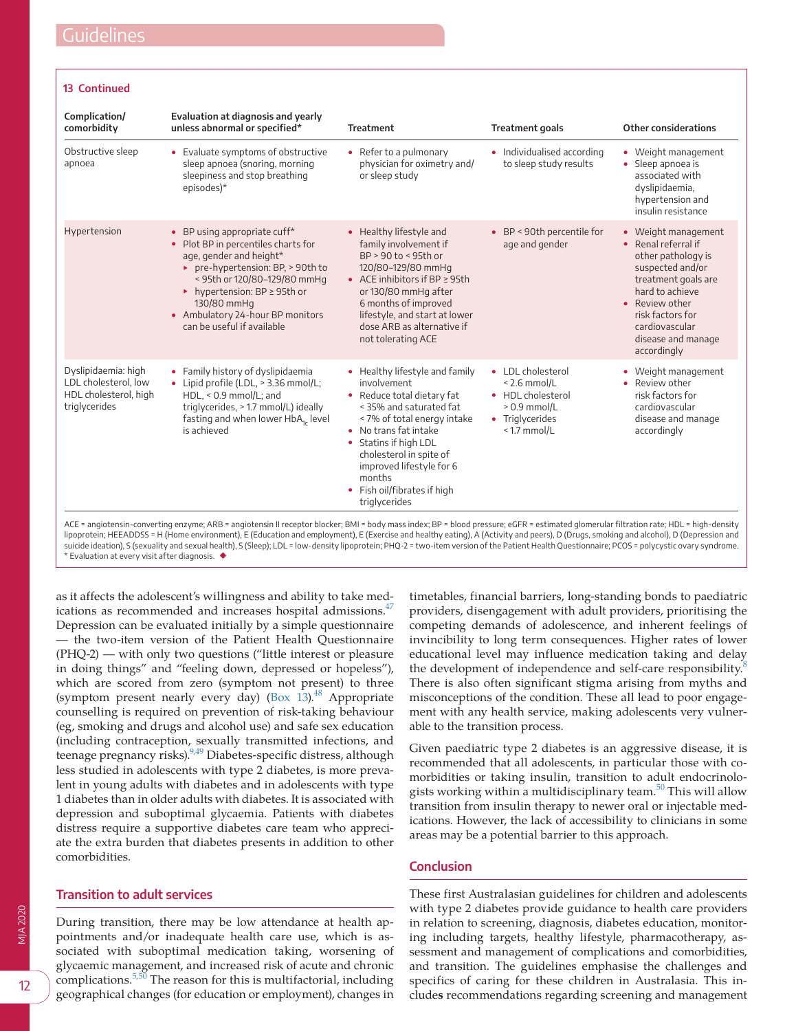#### **13 Continued**

| Complication/<br>comorbidity                                                          | Evaluation at diagnosis and yearly<br>unless abnormal or specified*                                                                                                                                                                                                                     | <b>Treatment</b>                                                                                                                                                                                                                                                                                     | <b>Treatment goals</b>                                                                                          | Other considerations                                                                                                                                                                                                                |
|---------------------------------------------------------------------------------------|-----------------------------------------------------------------------------------------------------------------------------------------------------------------------------------------------------------------------------------------------------------------------------------------|------------------------------------------------------------------------------------------------------------------------------------------------------------------------------------------------------------------------------------------------------------------------------------------------------|-----------------------------------------------------------------------------------------------------------------|-------------------------------------------------------------------------------------------------------------------------------------------------------------------------------------------------------------------------------------|
| Obstructive sleep<br>apnoea                                                           | • Evaluate symptoms of obstructive<br>sleep apnoea (snoring, morning<br>sleepiness and stop breathing<br>episodes)*                                                                                                                                                                     | • Refer to a pulmonary<br>physician for oximetry and/<br>or sleep study                                                                                                                                                                                                                              | • Individualised according<br>to sleep study results                                                            | • Weight management<br>• Sleep apnoea is<br>associated with<br>dyslipidaemia,<br>hypertension and<br>insulin resistance                                                                                                             |
| Hypertension                                                                          | • BP using appropriate cuff*<br>• Plot BP in percentiles charts for<br>age, gender and height*<br>pre-hypertension: BP, > 90th to<br>< 95th or 120/80-129/80 mmHq<br>• hypertension: BP $\geq$ 95th or<br>130/80 mmHq<br>• Ambulatory 24-hour BP monitors<br>can be useful if available | • Healthy lifestyle and<br>family involvement if<br>$BP > 90$ to < 95th or<br>120/80-129/80 mmHg<br>• ACE inhibitors if $BP \geq 95th$<br>or 130/80 mmHg after<br>6 months of improved<br>lifestyle, and start at lower<br>dose ARB as alternative if<br>not tolerating ACE                          | • BP < 90th percentile for<br>age and gender                                                                    | • Weight management<br>$\bullet$ Renal referral if<br>other pathology is<br>suspected and/or<br>treatment goals are<br>hard to achieve<br>• Review other<br>risk factors for<br>cardiovascular<br>disease and manage<br>accordingly |
| Dyslipidaemia: high<br>LDL cholesterol, low<br>HDL cholesterol, high<br>triglycerides | • Family history of dyslipidaemia<br>• Lipid profile (LDL, > 3.36 mmol/L;<br>$HDL, < 0.9$ mmol/L; and<br>triglycerides, > 1.7 mmol/L) ideally<br>fasting and when lower HbA <sub>1</sub> , level<br>is achieved                                                                         | • Healthy lifestyle and family<br>involvement<br>• Reduce total dietary fat<br>< 35% and saturated fat<br>< 7% of total energy intake<br>No trans fat intake<br>Statins if high LDL<br>cholesterol in spite of<br>improved lifestyle for 6<br>months<br>• Fish oil/fibrates if high<br>triglycerides | • LDL cholesterol<br>$< 2.6$ mmol/L<br>• HDL cholesterol<br>$> 0.9$ mmol/L<br>• Triglycerides<br>$<$ 1.7 mmol/L | • Weight management<br>• Review other<br>risk factors for<br>cardiovascular<br>disease and manage<br>accordingly                                                                                                                    |

lipoprotein; HEEADDSS = H (Home environment), E (Education and employment), E (Exercise and healthy eating), A (Activity and peers), D (Drugs, smoking and alcohol), D (Depression and<br>suicide ideation), S (sexuality and sex \* Evaluation at every visit after diagnosis. ◆

as it affects the adolescent's willingness and ability to take medications as recommended and increases hospital admissions.<sup>47</sup> Depression can be evaluated initially by a simple questionnaire — the two-item version of the Patient Health Questionnaire (PHQ-2) — with only two questions ("little interest or pleasure in doing things" and "feeling down, depressed or hopeless"), which are scored from zero (symptom not present) to three (symptom present nearly every day)  $(Box 13)<sup>48</sup>$  $(Box 13)<sup>48</sup>$  Appropriate counselling is required on prevention of risk-taking behaviour (eg, smoking and drugs and alcohol use) and safe sex education (including contraception, sexually transmitted infections, and teenage pregnancy risks).<sup>9,49</sup> Diabetes-specific distress, although less studied in adolescents with type 2 diabetes, is more prevalent in young adults with diabetes and in adolescents with type 1 diabetes than in older adults with diabetes. It is associated with depression and suboptimal glycaemia. Patients with diabetes distress require a supportive diabetes care team who appreciate the extra burden that diabetes presents in addition to other comorbidities.

# **Transition to adult services**

During transition, there may be low attendance at health appointments and/or inadequate health care use, which is associated with suboptimal medication taking, worsening of glycaemic management, and increased risk of acute and chronic complications. $5,50$  The reason for this is multifactorial, including geographical changes (for education or employment), changes in

timetables, financial barriers, long-standing bonds to paediatric providers, disengagement with adult providers, prioritising the competing demands of adolescence, and inherent feelings of invincibility to long term consequences. Higher rates of lower educational level may influence medication taking and delay the development of independence and self-care responsibility.<sup>[8](#page-12-18)</sup> There is also often significant stigma arising from myths and misconceptions of the condition. These all lead to poor engagement with any health service, making adolescents very vulnerable to the transition process.

Given paediatric type 2 diabetes is an aggressive disease, it is recommended that all adolescents, in particular those with comorbidities or taking insulin, transition to adult endocrinolo-gists working within a multidisciplinary team.<sup>[50](#page-13-11)</sup> This will allow transition from insulin therapy to newer oral or injectable medications. However, the lack of accessibility to clinicians in some areas may be a potential barrier to this approach.

# **Conclusion**

These first Australasian guidelines for children and adolescents with type 2 diabetes provide guidance to health care providers in relation to screening, diagnosis, diabetes education, monitoring including targets, healthy lifestyle, pharmacotherapy, assessment and management of complications and comorbidities, and transition. The guidelines emphasise the challenges and specifics of caring for these children in Australasia. This include**s** recommendations regarding screening and management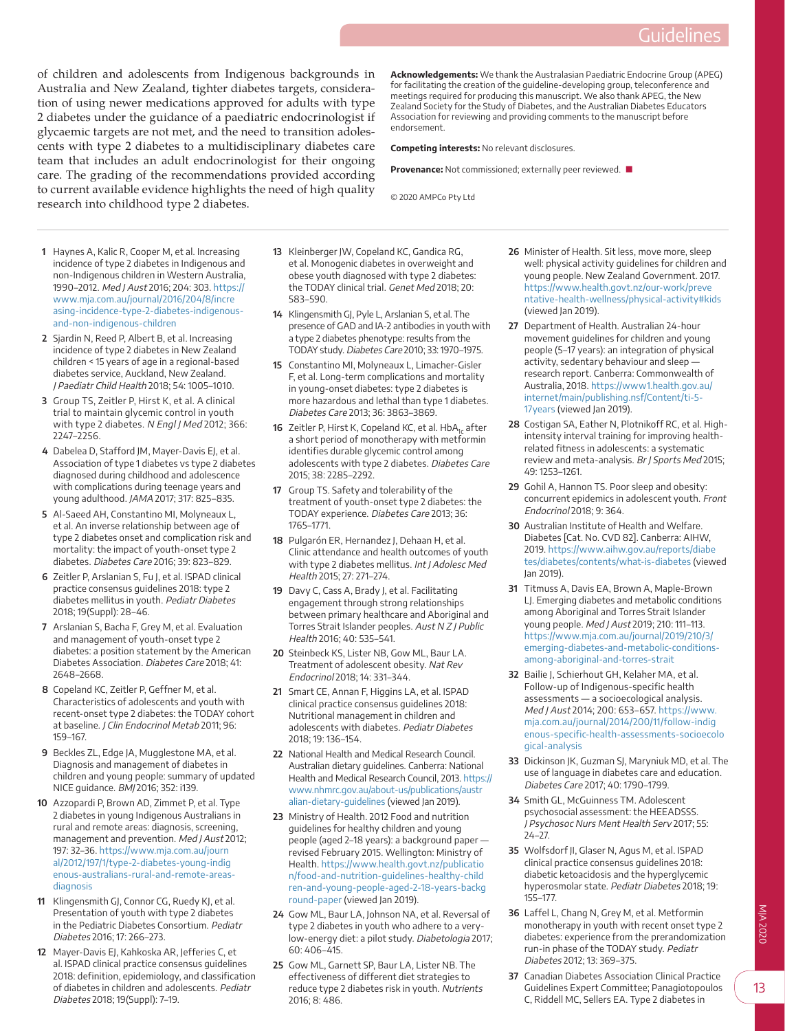of children and adolescents from Indigenous backgrounds in Australia and New Zealand, tighter diabetes targets, consideration of using newer medications approved for adults with type 2 diabetes under the guidance of a paediatric endocrinologist if glycaemic targets are not met, and the need to transition adolescents with type 2 diabetes to a multidisciplinary diabetes care team that includes an adult endocrinologist for their ongoing care. The grading of the recommendations provided according to current available evidence highlights the need of high quality research into childhood type 2 diabetes.

**Acknowledgements:** We thank the Australasian Paediatric Endocrine Group (APEG) for facilitating the creation of the guideline-developing group, teleconference and meetings required for producing this manuscript. We also thank APEG, the New Zealand Society for the Study of Diabetes, and the Australian Diabetes Educators Association for reviewing and providing comments to the manuscript before endorsement.

**Competing interests:** No relevant disclosures.

**Provenance:** Not commissioned; externally peer reviewed. ■

© 2020 AMPCo Pty Ltd

- <span id="page-12-0"></span> **1** Haynes A, Kalic R, Cooper M, et al. Increasing incidence of type 2 diabetes in Indigenous and non-Indigenous children in Western Australia, 1990–2012. Med J Aust 2016; 204: 303. [https://](https://www.mja.com.au/journal/2016/204/8/increasing-incidence-type-2-diabetes-indigenous-and-non-indigenous-children) [www.mja.com.au/journal/2016/204/8/incre](https://www.mja.com.au/journal/2016/204/8/increasing-incidence-type-2-diabetes-indigenous-and-non-indigenous-children) [asing-incidence-type-2-diabetes-indigenous](https://www.mja.com.au/journal/2016/204/8/increasing-incidence-type-2-diabetes-indigenous-and-non-indigenous-children)[and-non-indigenous-children](https://www.mja.com.au/journal/2016/204/8/increasing-incidence-type-2-diabetes-indigenous-and-non-indigenous-children)
- <span id="page-12-1"></span> **2** Sjardin N, Reed P, Albert B, et al. Increasing incidence of type 2 diabetes in New Zealand children < 15 years of age in a regional-based diabetes service, Auckland, New Zealand. J Paediatr Child Health 2018; 54: 1005–1010.
- <span id="page-12-2"></span> **3** Group TS, Zeitler P, Hirst K, et al. A clinical trial to maintain glycemic control in youth with type 2 diabetes. N Engl J Med 2012; 366: 2247–2256.
- <span id="page-12-3"></span> **4** Dabelea D, Stafford JM, Mayer-Davis EJ, et al. Association of type 1 diabetes vs type 2 diabetes diagnosed during childhood and adolescence with complications during teenage years and young adulthood. JAMA 2017; 317: 825–835.
- <span id="page-12-6"></span> **5** Al-Saeed AH, Constantino MI, Molyneaux L, et al. An inverse relationship between age of type 2 diabetes onset and complication risk and mortality: the impact of youth-onset type 2 diabetes. Diabetes Care 2016; 39: 823–829.
- <span id="page-12-4"></span> **6** Zeitler P, Arslanian S, Fu J, et al. ISPAD clinical practice consensus guidelines 2018: type 2 diabetes mellitus in youth. Pediatr Diabetes 2018; 19(Suppl): 28–46.
- <span id="page-12-5"></span> **7** Arslanian S, Bacha F, Grey M, et al. Evaluation and management of youth-onset type 2 diabetes: a position statement by the American Diabetes Association. Diabetes Care 2018; 41: 2648–2668.
- <span id="page-12-18"></span> **8** Copeland KC, Zeitler P, Geffner M, et al. Characteristics of adolescents and youth with recent-onset type 2 diabetes: the TODAY cohort at baseline. J Clin Endocrinol Metab 2011; 96: 159–167.
- <span id="page-12-25"></span> **9** Beckles ZL, Edge JA, Mugglestone MA, et al. Diagnosis and management of diabetes in children and young people: summary of updated NICE guidance. BMJ 2016; 352: i139.
- <span id="page-12-20"></span>**10** Azzopardi P, Brown AD, Zimmet P, et al. Type 2 diabetes in young Indigenous Australians in rural and remote areas: diagnosis, screening, management and prevention. Med J Aust 2012; 197: 32–36. [https://www.mja.com.au/journ](https://www.mja.com.au/journal/2012/197/1/type-2-diabetes-young-indigenous-australians-rural-and-remote-areas-diagnosis) [al/2012/197/1/type-2-diabetes-young-indig](https://www.mja.com.au/journal/2012/197/1/type-2-diabetes-young-indigenous-australians-rural-and-remote-areas-diagnosis) [enous-australians-rural-and-remote-areas](https://www.mja.com.au/journal/2012/197/1/type-2-diabetes-young-indigenous-australians-rural-and-remote-areas-diagnosis)[diagnosis](https://www.mja.com.au/journal/2012/197/1/type-2-diabetes-young-indigenous-australians-rural-and-remote-areas-diagnosis)
- <span id="page-12-12"></span>**11** Klingensmith GJ, Connor CG, Ruedy KJ, et al. Presentation of youth with type 2 diabetes in the Pediatric Diabetes Consortium. Pediatr Diabetes 2016; 17: 266–273.
- <span id="page-12-17"></span>**12** Mayer-Davis EJ, Kahkoska AR, Jefferies C, et al. ISPAD clinical practice consensus guidelines 2018: definition, epidemiology, and classification of diabetes in children and adolescents. Pediatr Diabetes 2018; 19(Suppl): 7–19.
- <span id="page-12-16"></span>**13** Kleinberger JW, Copeland KC, Gandica RG, et al. Monogenic diabetes in overweight and obese youth diagnosed with type 2 diabetes: the TODAY clinical trial. Genet Med 2018; 20: 583–590.
- **14** Klingensmith GJ, Pyle L, Arslanian S, et al. The presence of GAD and IA-2 antibodies in youth with a type 2 diabetes phenotype: results from the TODAY study. Diabetes Care 2010; 33: 1970–1975.
- **15** Constantino MI, Molyneaux L, Limacher-Gisler F, et al. Long-term complications and mortality in young-onset diabetes: type 2 diabetes is more hazardous and lethal than type 1 diabetes. Diabetes Care 2013; 36: 3863–3869.
- **16** Zeitler P, Hirst K, Copeland KC, et al. HbA<sub>1c</sub> after a short period of monotherapy with metformin identifies durable glycemic control among adolescents with type 2 diabetes. Diabetes Care 2015; 38: 2285–2292.
- <span id="page-12-7"></span>**17** Group TS. Safety and tolerability of the treatment of youth-onset type 2 diabetes: the TODAY experience. Diabetes Care 2013; 36: 1765–1771.
- <span id="page-12-8"></span>**18** Pulgarón ER, Hernandez J, Dehaan H, et al. Clinic attendance and health outcomes of youth with type 2 diabetes mellitus. Int J Adolesc Med Health 2015; 27: 271–274.
- <span id="page-12-9"></span>**19** Davy C, Cass A, Brady J, et al. Facilitating engagement through strong relationships between primary healthcare and Aboriginal and Torres Strait Islander peoples. Aust N Z J Public Health 2016; 40: 535–541.
- <span id="page-12-10"></span>**20** Steinbeck KS, Lister NB, Gow ML, Baur LA. Treatment of adolescent obesity. Nat Rev Endocrinol 2018; 14: 331–344.
- <span id="page-12-11"></span>**21** Smart CE, Annan F, Higgins LA, et al. ISPAD clinical practice consensus guidelines 2018: Nutritional management in children and adolescents with diabetes. Pediatr Diabetes 2018; 19: 136–154.
- <span id="page-12-24"></span>**22** National Health and Medical Research Council. Australian dietary guidelines. Canberra: National Health and Medical Research Council, 2013. [https://](https://www.nhmrc.gov.au/about-us/publications/australian-dietary-guidelines) [www.nhmrc.gov.au/about-us/publications/austr](https://www.nhmrc.gov.au/about-us/publications/australian-dietary-guidelines) [alian-dietary-guidelines](https://www.nhmrc.gov.au/about-us/publications/australian-dietary-guidelines) (viewed Jan 2019).
- **23** Ministry of Health. 2012 Food and nutrition guidelines for healthy children and young people (aged 2–18 years): a background paper revised February 2015. Wellington: Ministry of Health. [https://www.health.govt.nz/publicatio](https://www.health.govt.nz/publication/food-and-nutrition-guidelines-healthy-children-and-young-people-aged-2-18-years-background-paper) [n/food-and-nutrition-guidelines-healthy-child](https://www.health.govt.nz/publication/food-and-nutrition-guidelines-healthy-children-and-young-people-aged-2-18-years-background-paper) [ren-and-young-people-aged-2-18-years-backg](https://www.health.govt.nz/publication/food-and-nutrition-guidelines-healthy-children-and-young-people-aged-2-18-years-background-paper) [round-paper](https://www.health.govt.nz/publication/food-and-nutrition-guidelines-healthy-children-and-young-people-aged-2-18-years-background-paper) (viewed Jan 2019).
- **24** Gow ML, Baur LA, Johnson NA, et al. Reversal of type 2 diabetes in youth who adhere to a verylow-energy diet: a pilot study. Diabetologia 2017; 60: 406–415.
- **25** Gow ML, Garnett SP, Baur LA, Lister NB. The effectiveness of different diet strategies to reduce type 2 diabetes risk in youth. Nutrients 2016; 8: 486.
- <span id="page-12-13"></span>**26** Minister of Health. Sit less, move more, sleep well: physical activity guidelines for children and young people. New Zealand Government. 2017. [https://www.health.govt.nz/our-work/preve](https://www.health.govt.nz/our-work/preventative-health-wellness/physical-activity#kids) [ntative-health-wellness/physical-activity#kids](https://www.health.govt.nz/our-work/preventative-health-wellness/physical-activity#kids) (viewed Jan 2019).
- <span id="page-12-15"></span>**27** Department of Health. Australian 24-hour movement guidelines for children and young people (5–17 years): an integration of physical activity, sedentary behaviour and sleep research report. Canberra: Commonwealth of Australia, 2018. [https://www1.health.gov.au/](https://www1.health.gov.au/internet/main/publishing.nsf/Content/ti-5-17years) [internet/main/publishing.nsf/Content/ti-5-](https://www1.health.gov.au/internet/main/publishing.nsf/Content/ti-5-17years) [17years](https://www1.health.gov.au/internet/main/publishing.nsf/Content/ti-5-17years) (viewed Jan 2019).
- <span id="page-12-14"></span>**28** Costigan SA, Eather N, Plotnikoff RC, et al. Highintensity interval training for improving healthrelated fitness in adolescents: a systematic review and meta-analysis. Br J Sports Med 2015; 49: 1253–1261.
- <span id="page-12-19"></span>**29** Gohil A, Hannon TS. Poor sleep and obesity: concurrent epidemics in adolescent youth. Front Endocrinol 2018; 9: 364.
- **30** Australian Institute of Health and Welfare. Diabetes [Cat. No. CVD 82]. Canberra: AIHW, 2019. [https://www.aihw.gov.au/reports/diabe](https://www.aihw.gov.au/reports/diabetes/diabetes/contents/what-is-diabetes) [tes/diabetes/contents/what-is-diabetes](https://www.aihw.gov.au/reports/diabetes/diabetes/contents/what-is-diabetes) (viewed Jan 2019).
- **31** Titmuss A, Davis EA, Brown A, Maple-Brown LJ. Emerging diabetes and metabolic conditions among Aboriginal and Torres Strait Islander young people. Med J Aust 2019; 210: 111–113. [https://www.mja.com.au/journal/2019/210/3/](https://www.mja.com.au/journal/2019/210/3/emerging-diabetes-and-metabolic-conditions-among-aboriginal-and-torres-strait) [emerging-diabetes-and-metabolic-conditions](https://www.mja.com.au/journal/2019/210/3/emerging-diabetes-and-metabolic-conditions-among-aboriginal-and-torres-strait)[among-aboriginal-and-torres-strait](https://www.mja.com.au/journal/2019/210/3/emerging-diabetes-and-metabolic-conditions-among-aboriginal-and-torres-strait)
- **32** Bailie J, Schierhout GH, Kelaher MA, et al. Follow-up of Indigenous-specific health assessments — a socioecological analysis. Med J Aust 2014; 200: 653–657. [https://www.](https://www.mja.com.au/journal/2014/200/11/follow-indigenous-specific-health-assessments-socioecological-analysis) [mja.com.au/journal/2014/200/11/follow-indig](https://www.mja.com.au/journal/2014/200/11/follow-indigenous-specific-health-assessments-socioecological-analysis) [enous-specific-health-assessments-socioecolo](https://www.mja.com.au/journal/2014/200/11/follow-indigenous-specific-health-assessments-socioecological-analysis) [gical-analysis](https://www.mja.com.au/journal/2014/200/11/follow-indigenous-specific-health-assessments-socioecological-analysis)
- **33** Dickinson JK, Guzman SJ, Maryniuk MD, et al. The use of language in diabetes care and education. Diabetes Care 2017; 40: 1790–1799.
- **34** Smith GL, McGuinness TM. Adolescent psychosocial assessment: the HEEADSSS. J Psychosoc Nurs Ment Health Serv 2017; 55: 24–27.
- <span id="page-12-21"></span>**35** Wolfsdorf JI, Glaser N, Agus M, et al. ISPAD clinical practice consensus guidelines 2018: diabetic ketoacidosis and the hyperglycemic hyperosmolar state. Pediatr Diabetes 2018; 19: 155–177.
- <span id="page-12-22"></span>**36** Laffel L, Chang N, Grey M, et al. Metformin monotherapy in youth with recent onset type 2 diabetes: experience from the prerandomization run-in phase of the TODAY study. Pediatr Diabetes 2012; 13: 369–375.
- <span id="page-12-23"></span>**37** Canadian Diabetes Association Clinical Practice Guidelines Expert Committee; Panagiotopoulos C, Riddell MC, Sellers EA. Type 2 diabetes in